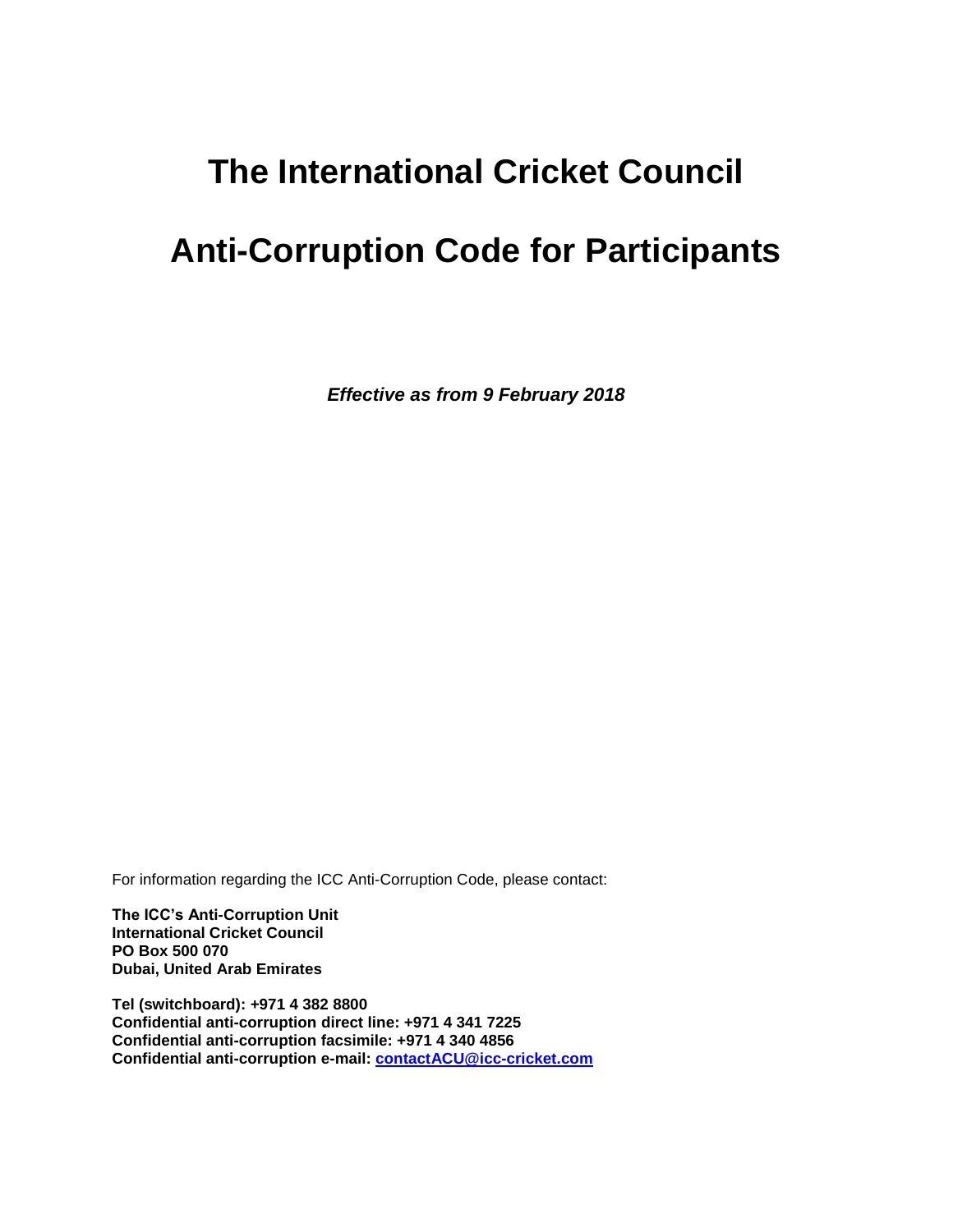## **The International Cricket Council**

# **Anti-Corruption Code for Participants**

*Effective as from 9 February 2018*

For information regarding the ICC Anti-Corruption Code, please contact:

**The ICC's Anti-Corruption Unit International Cricket Council PO Box 500 070 Dubai, United Arab Emirates**

**Tel (switchboard): +971 4 382 8800 Confidential anti-corruption direct line: +971 4 341 7225 Confidential anti-corruption facsimile: +971 4 340 4856 Confidential anti-corruption e-mail: [contactACU@icc-cricket.com](mailto:contactACU@icc-cricket.com)**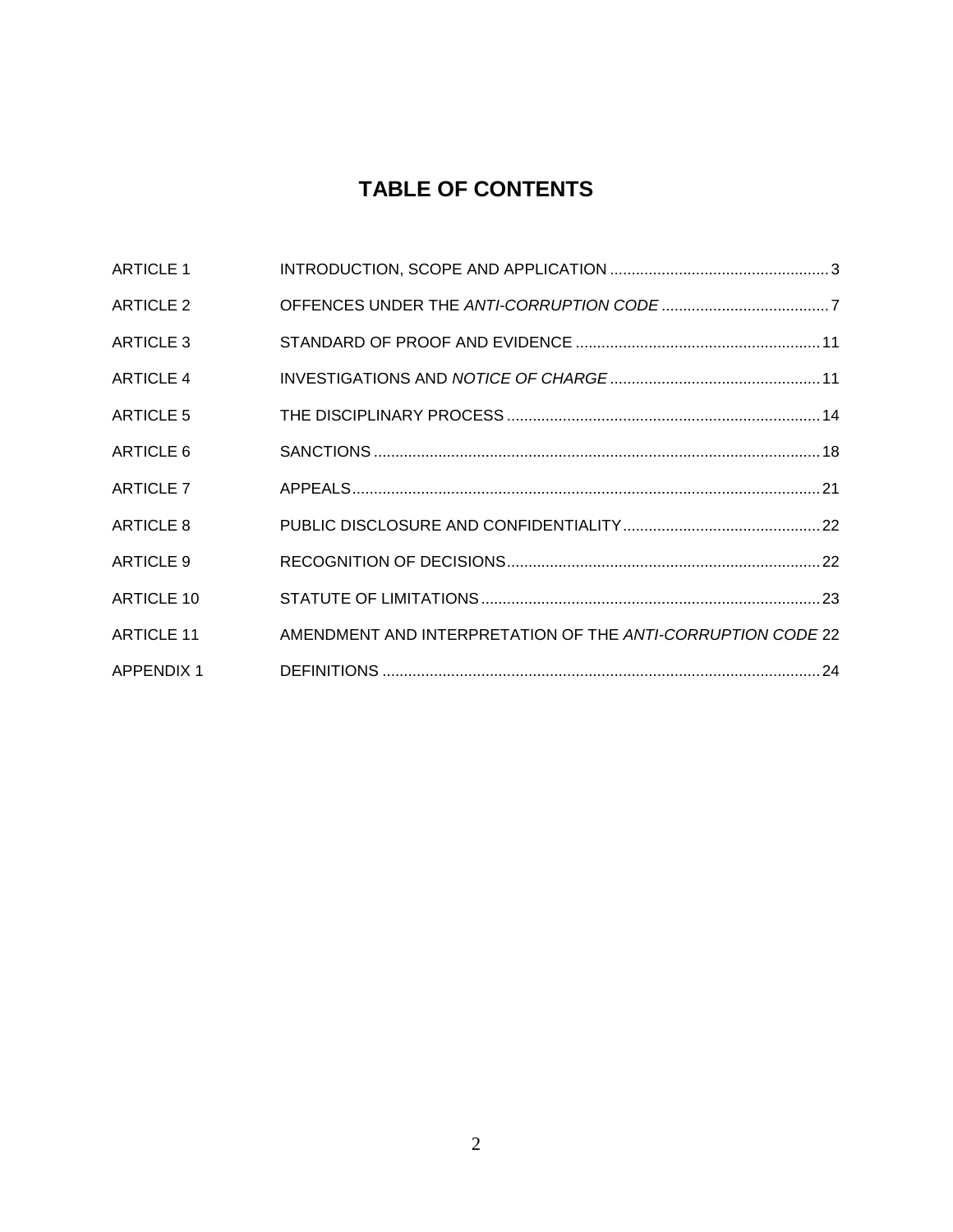## **TABLE OF CONTENTS**

|                                                             | <b>ARTICLE 1</b>  |
|-------------------------------------------------------------|-------------------|
|                                                             | <b>ARTICLE 2</b>  |
|                                                             | <b>ARTICLE 3</b>  |
|                                                             | <b>ARTICLE 4</b>  |
|                                                             | <b>ARTICLE 5</b>  |
|                                                             | ARTICLE 6         |
|                                                             | <b>ARTICLE 7</b>  |
|                                                             | ARTICLE 8         |
|                                                             | ARTICLE 9         |
|                                                             | <b>ARTICLE 10</b> |
| AMENDMENT AND INTERPRETATION OF THE ANTI-CORRUPTION CODE 22 | <b>ARTICLE 11</b> |
|                                                             | <b>APPENDIX 1</b> |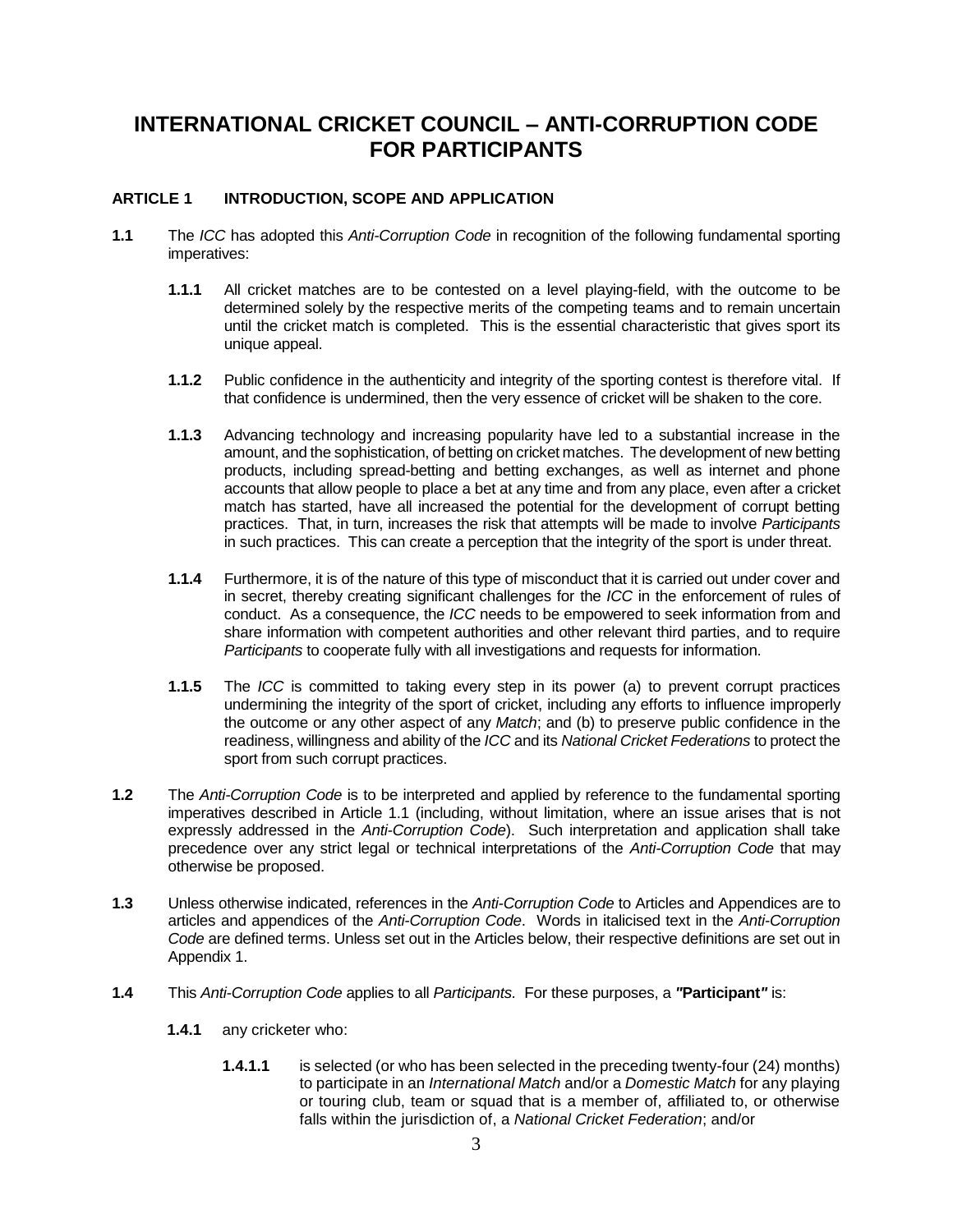### **INTERNATIONAL CRICKET COUNCIL – ANTI-CORRUPTION CODE FOR PARTICIPANTS**

#### **ARTICLE 1 INTRODUCTION, SCOPE AND APPLICATION**

- **1.1** The *ICC* has adopted this *Anti-Corruption Code* in recognition of the following fundamental sporting imperatives:
	- **1.1.1** All cricket matches are to be contested on a level playing-field, with the outcome to be determined solely by the respective merits of the competing teams and to remain uncertain until the cricket match is completed. This is the essential characteristic that gives sport its unique appeal.
	- **1.1.2** Public confidence in the authenticity and integrity of the sporting contest is therefore vital. If that confidence is undermined, then the very essence of cricket will be shaken to the core.
	- **1.1.3** Advancing technology and increasing popularity have led to a substantial increase in the amount, and the sophistication, of betting on cricket matches. The development of new betting products, including spread-betting and betting exchanges, as well as internet and phone accounts that allow people to place a bet at any time and from any place, even after a cricket match has started, have all increased the potential for the development of corrupt betting practices. That, in turn, increases the risk that attempts will be made to involve *Participants* in such practices. This can create a perception that the integrity of the sport is under threat.
	- **1.1.4** Furthermore, it is of the nature of this type of misconduct that it is carried out under cover and in secret, thereby creating significant challenges for the *ICC* in the enforcement of rules of conduct. As a consequence, the *ICC* needs to be empowered to seek information from and share information with competent authorities and other relevant third parties, and to require *Participants* to cooperate fully with all investigations and requests for information.
	- **1.1.5** The *ICC* is committed to taking every step in its power (a) to prevent corrupt practices undermining the integrity of the sport of cricket, including any efforts to influence improperly the outcome or any other aspect of any *Match*; and (b) to preserve public confidence in the readiness, willingness and ability of the *ICC* and its *National Cricket Federations* to protect the sport from such corrupt practices.
- **1.2** The *Anti-Corruption Code* is to be interpreted and applied by reference to the fundamental sporting imperatives described in Article 1.1 (including, without limitation, where an issue arises that is not expressly addressed in the *Anti-Corruption Code*). Such interpretation and application shall take precedence over any strict legal or technical interpretations of the *Anti-Corruption Code* that may otherwise be proposed.
- **1.3** Unless otherwise indicated, references in the *Anti-Corruption Code* to Articles and Appendices are to articles and appendices of the *Anti-Corruption Code*.Words in italicised text in the *Anti-Corruption Code* are defined terms. Unless set out in the Articles below, their respective definitions are set out in Appendix 1.
- **1.4** This *Anti-Corruption Code* applies to all *Participants.* For these purposes, a *"***Participant***"* is:
	- **1.4.1** any cricketer who:
		- **1.4.1.1** is selected (or who has been selected in the preceding twenty-four (24) months) to participate in an *International Match* and/or a *Domestic Match* for any playing or touring club, team or squad that is a member of, affiliated to, or otherwise falls within the jurisdiction of, a *National Cricket Federation*; and/or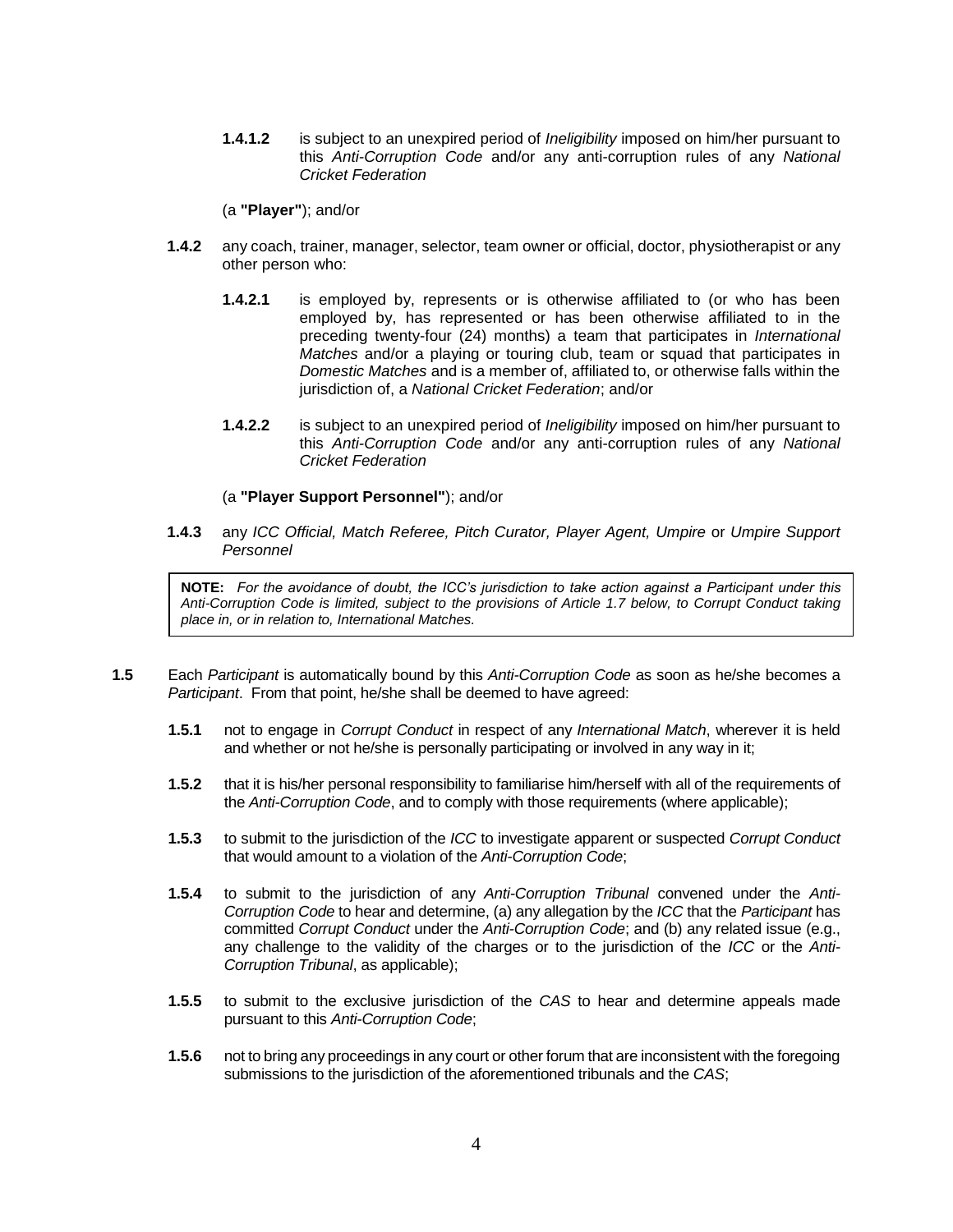**1.4.1.2** is subject to an unexpired period of *Ineligibility* imposed on him/her pursuant to this *Anti-Corruption Code* and/or any anti-corruption rules of any *National Cricket Federation*

(a **"Player"**); and/or

- **1.4.2** any coach, trainer, manager, selector, team owner or official, doctor, physiotherapist or any other person who:
	- **1.4.2.1** is employed by, represents or is otherwise affiliated to (or who has been employed by, has represented or has been otherwise affiliated to in the preceding twenty-four (24) months) a team that participates in *International Matches* and/or a playing or touring club, team or squad that participates in *Domestic Matches* and is a member of, affiliated to, or otherwise falls within the jurisdiction of, a *National Cricket Federation*; and/or
	- **1.4.2.2** is subject to an unexpired period of *Ineligibility* imposed on him/her pursuant to this *Anti-Corruption Code* and/or any anti-corruption rules of any *National Cricket Federation*

#### (a **"Player Support Personnel"**); and/or

**1.4.3** any *ICC Official, Match Referee, Pitch Curator, Player Agent, Umpire* or *Umpire Support Personnel*

**NOTE:** *For the avoidance of doubt, the ICC's jurisdiction to take action against a Participant under this Anti-Corruption Code is limited, subject to the provisions of Article 1.7 below, to Corrupt Conduct taking place in, or in relation to, International Matches.* 

- **1.5** Each *Participant* is automatically bound by this *Anti-Corruption Code* as soon as he/she becomes a *Participant*. From that point, he/she shall be deemed to have agreed:
	- **1.5.1** not to engage in *Corrupt Conduct* in respect of any *International Match*, wherever it is held and whether or not he/she is personally participating or involved in any way in it;
	- **1.5.2** that it is his/her personal responsibility to familiarise him/herself with all of the requirements of the *Anti-Corruption Code*, and to comply with those requirements (where applicable);
	- **1.5.3** to submit to the jurisdiction of the *ICC* to investigate apparent or suspected *Corrupt Conduct* that would amount to a violation of the *Anti-Corruption Code*;
	- **1.5.4** to submit to the jurisdiction of any *Anti-Corruption Tribunal* convened under the *Anti-Corruption Code* to hear and determine, (a) any allegation by the *ICC* that the *Participant* has committed *Corrupt Conduct* under the *Anti-Corruption Code*; and (b) any related issue (e.g., any challenge to the validity of the charges or to the jurisdiction of the *ICC* or the *Anti-Corruption Tribunal*, as applicable);
	- **1.5.5** to submit to the exclusive jurisdiction of the *CAS* to hear and determine appeals made pursuant to this *Anti-Corruption Code*;
	- **1.5.6** not to bring any proceedings in any court or other forum that are inconsistent with the foregoing submissions to the jurisdiction of the aforementioned tribunals and the *CAS*;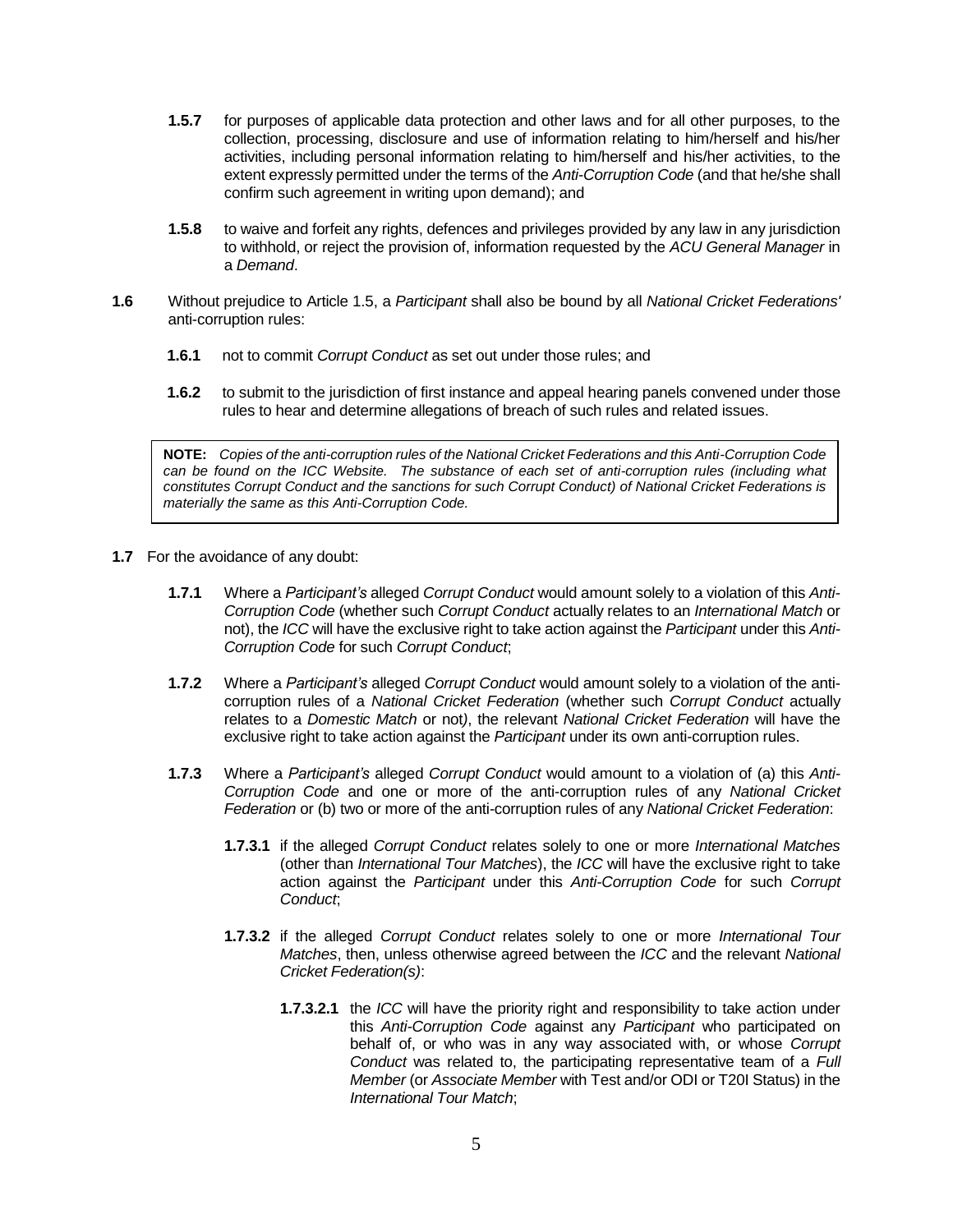- **1.5.7** for purposes of applicable data protection and other laws and for all other purposes, to the collection, processing, disclosure and use of information relating to him/herself and his/her activities, including personal information relating to him/herself and his/her activities, to the extent expressly permitted under the terms of the *Anti-Corruption Code* (and that he/she shall confirm such agreement in writing upon demand); and
- **1.5.8** to waive and forfeit any rights, defences and privileges provided by any law in any jurisdiction to withhold, or reject the provision of, information requested by the *ACU General Manager* in a *Demand*.
- **1.6** Without prejudice to Article 1.5, a *Participant* shall also be bound by all *National Cricket Federations'*  anti-corruption rules:
	- **1.6.1** not to commit *Corrupt Conduct* as set out under those rules; and
	- **1.6.2** to submit to the jurisdiction of first instance and appeal hearing panels convened under those rules to hear and determine allegations of breach of such rules and related issues.

**NOTE:** *Copies of the anti-corruption rules of the National Cricket Federations and this Anti-Corruption Code can be found on the ICC Website. The substance of each set of anti-corruption rules (including what constitutes Corrupt Conduct and the sanctions for such Corrupt Conduct) of National Cricket Federations is materially the same as this Anti-Corruption Code.* 

- **1.7** For the avoidance of any doubt:
	- **1.7.1** Where a *Participant's* alleged *Corrupt Conduct* would amount solely to a violation of this *Anti-Corruption Code* (whether such *Corrupt Conduct* actually relates to an *International Match* or not), the *ICC* will have the exclusive right to take action against the *Participant* under this *Anti-Corruption Code* for such *Corrupt Conduct*;
	- **1.7.2** Where a *Participant's* alleged *Corrupt Conduct* would amount solely to a violation of the anticorruption rules of a *National Cricket Federation* (whether such *Corrupt Conduct* actually relates to a *Domestic Match* or not*)*, the relevant *National Cricket Federation* will have the exclusive right to take action against the *Participant* under its own anti-corruption rules.
	- **1.7.3** Where a *Participant's* alleged *Corrupt Conduct* would amount to a violation of (a) this *Anti-Corruption Code* and one or more of the anti-corruption rules of any *National Cricket Federation* or (b) two or more of the anti-corruption rules of any *National Cricket Federation*:
		- **1.7.3.1** if the alleged *Corrupt Conduct* relates solely to one or more *International Matches*  (other than *International Tour Matches*), the *ICC* will have the exclusive right to take action against the *Participant* under this *Anti-Corruption Code* for such *Corrupt Conduct*;
		- **1.7.3.2** if the alleged *Corrupt Conduct* relates solely to one or more *International Tour Matches*, then, unless otherwise agreed between the *ICC* and the relevant *National Cricket Federation(s)*:
			- **1.7.3.2.1** the *ICC* will have the priority right and responsibility to take action under this *Anti-Corruption Code* against any *Participant* who participated on behalf of, or who was in any way associated with, or whose *Corrupt Conduct* was related to, the participating representative team of a *Full Member* (or *Associate Member* with Test and/or ODI or T20I Status) in the *International Tour Match*;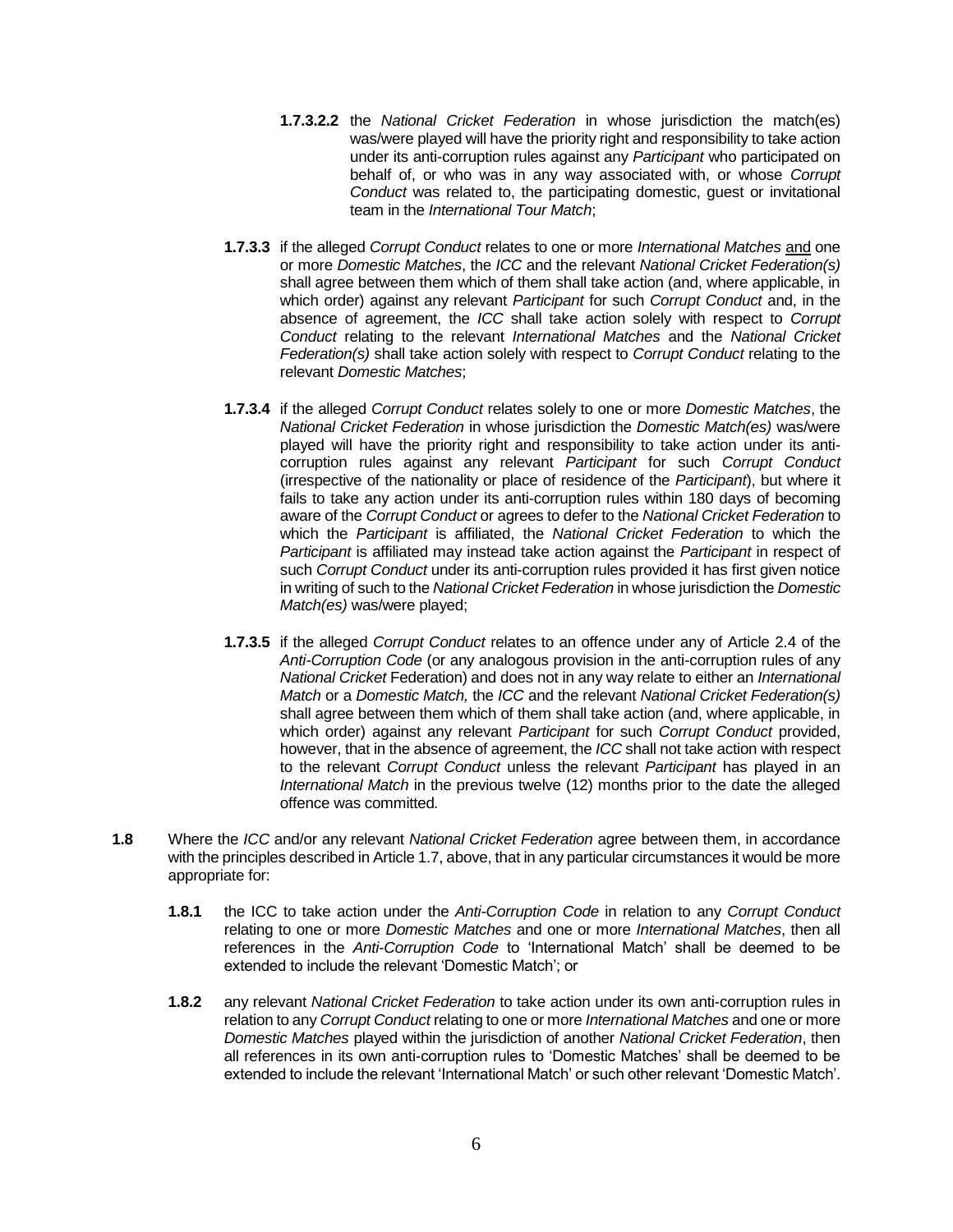- **1.7.3.2.2** the *National Cricket Federation* in whose jurisdiction the match(es) was/were played will have the priority right and responsibility to take action under its anti-corruption rules against any *Participant* who participated on behalf of, or who was in any way associated with, or whose *Corrupt Conduct* was related to, the participating domestic, guest or invitational team in the *International Tour Match*;
- **1.7.3.3** if the alleged *Corrupt Conduct* relates to one or more *International Matches* and one or more *Domestic Matches*, the *ICC* and the relevant *National Cricket Federation(s)* shall agree between them which of them shall take action (and, where applicable, in which order) against any relevant *Participant* for such *Corrupt Conduct* and, in the absence of agreement, the *ICC* shall take action solely with respect to *Corrupt Conduct* relating to the relevant *International Matches* and the *National Cricket Federation(s)* shall take action solely with respect to *Corrupt Conduct* relating to the relevant *Domestic Matches*;
- **1.7.3.4** if the alleged *Corrupt Conduct* relates solely to one or more *Domestic Matches*, the *National Cricket Federation* in whose jurisdiction the *Domestic Match(es)* was/were played will have the priority right and responsibility to take action under its anticorruption rules against any relevant *Participant* for such *Corrupt Conduct*  (irrespective of the nationality or place of residence of the *Participant*), but where it fails to take any action under its anti-corruption rules within 180 days of becoming aware of the *Corrupt Conduct* or agrees to defer to the *National Cricket Federation* to which the *Participant* is affiliated, the *National Cricket Federation* to which the *Participant* is affiliated may instead take action against the *Participant* in respect of such *Corrupt Conduct* under its anti-corruption rules provided it has first given notice in writing of such to the *National Cricket Federation* in whose jurisdiction the *Domestic Match(es)* was/were played;
- **1.7.3.5** if the alleged *Corrupt Conduct* relates to an offence under any of Article 2.4 of the *Anti-Corruption Code* (or any analogous provision in the anti-corruption rules of any *National Cricket* Federation) and does not in any way relate to either an *International Match* or a *Domestic Match,* the *ICC* and the relevant *National Cricket Federation(s)* shall agree between them which of them shall take action (and, where applicable, in which order) against any relevant *Participant* for such *Corrupt Conduct* provided, however, that in the absence of agreement, the *ICC* shall not take action with respect to the relevant *Corrupt Conduct* unless the relevant *Participant* has played in an *International Match* in the previous twelve (12) months prior to the date the alleged offence was committed*.*
- **1.8** Where the *ICC* and/or any relevant *National Cricket Federation* agree between them, in accordance with the principles described in Article 1.7, above, that in any particular circumstances it would be more appropriate for:
	- **1.8.1** the ICC to take action under the *Anti-Corruption Code* in relation to any *Corrupt Conduct* relating to one or more *Domestic Matches* and one or more *International Matches*, then all references in the *Anti-Corruption Code* to 'International Match' shall be deemed to be extended to include the relevant 'Domestic Match'; or
	- **1.8.2** any relevant *National Cricket Federation* to take action under its own anti-corruption rules in relation to any *Corrupt Conduct* relating to one or more *International Matches* and one or more *Domestic Matches* played within the jurisdiction of another *National Cricket Federation*, then all references in its own anti-corruption rules to 'Domestic Matches' shall be deemed to be extended to include the relevant 'International Match' or such other relevant 'Domestic Match'.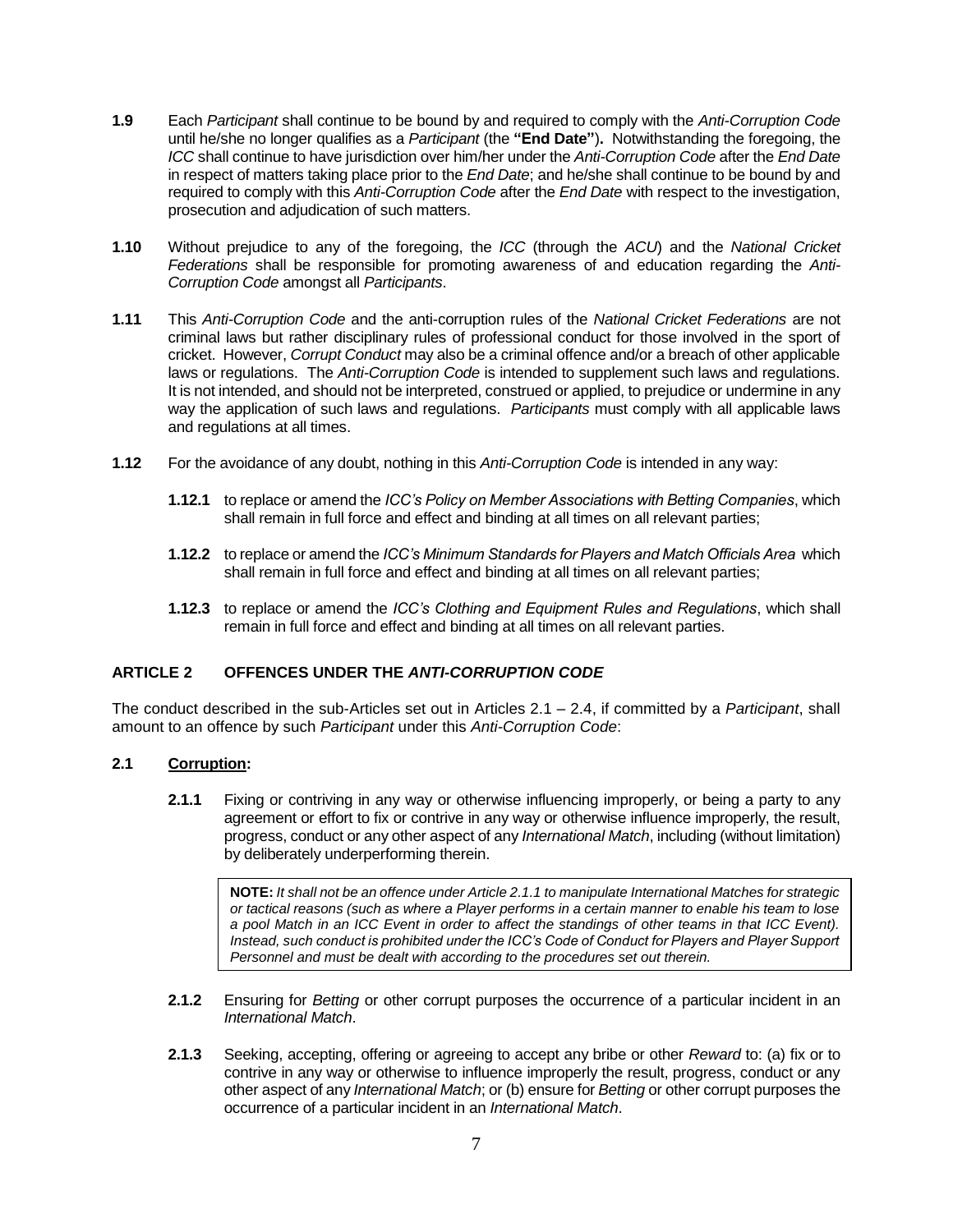- **1.9** Each *Participant* shall continue to be bound by and required to comply with the *Anti-Corruption Code* until he/she no longer qualifies as a *Participant* (the **"End Date"**)**.** Notwithstanding the foregoing, the *ICC* shall continue to have jurisdiction over him/her under the *Anti-Corruption Code* after the *End Date*  in respect of matters taking place prior to the *End Date*; and he/she shall continue to be bound by and required to comply with this *Anti-Corruption Code* after the *End Date* with respect to the investigation, prosecution and adjudication of such matters.
- **1.10** Without prejudice to any of the foregoing, the *ICC* (through the *ACU*) and the *National Cricket Federations* shall be responsible for promoting awareness of and education regarding the *Anti-Corruption Code* amongst all *Participants*.
- **1.11** This *Anti-Corruption Code* and the anti-corruption rules of the *National Cricket Federations* are not criminal laws but rather disciplinary rules of professional conduct for those involved in the sport of cricket. However, *Corrupt Conduct* may also be a criminal offence and/or a breach of other applicable laws or regulations. The *Anti-Corruption Code* is intended to supplement such laws and regulations. It is not intended, and should not be interpreted, construed or applied, to prejudice or undermine in any way the application of such laws and regulations. *Participants* must comply with all applicable laws and regulations at all times.
- **1.12** For the avoidance of any doubt, nothing in this *Anti-Corruption Code* is intended in any way:
	- **1.12.1** to replace or amend the *ICC's Policy on Member Associations with Betting Companies*, which shall remain in full force and effect and binding at all times on all relevant parties;
	- **1.12.2** to replace or amend the *ICC's Minimum Standards for Players and Match Officials Area* which shall remain in full force and effect and binding at all times on all relevant parties;
	- **1.12.3** to replace or amend the *ICC's Clothing and Equipment Rules and Regulations*, which shall remain in full force and effect and binding at all times on all relevant parties.

#### **ARTICLE 2 OFFENCES UNDER THE** *ANTI-CORRUPTION CODE*

The conduct described in the sub-Articles set out in Articles 2.1 – 2.4, if committed by a *Participant*, shall amount to an offence by such *Participant* under this *Anti-Corruption Code*:

#### **2.1 Corruption:**

**2.1.1** Fixing or contriving in any way or otherwise influencing improperly, or being a party to any agreement or effort to fix or contrive in any way or otherwise influence improperly, the result, progress, conduct or any other aspect of any *International Match*, including (without limitation) by deliberately underperforming therein.

**NOTE:** *It shall not be an offence under Article 2.1.1 to manipulate International Matches for strategic or tactical reasons (such as where a Player performs in a certain manner to enable his team to lose a pool Match in an ICC Event in order to affect the standings of other teams in that ICC Event). Instead, such conduct is prohibited under the ICC's Code of Conduct for Players and Player Support Personnel and must be dealt with according to the procedures set out therein.* 

- **2.1.2** Ensuring for *Betting* or other corrupt purposes the occurrence of a particular incident in an *International Match*.
- **2.1.3** Seeking, accepting, offering or agreeing to accept any bribe or other *Reward* to: (a) fix or to contrive in any way or otherwise to influence improperly the result, progress, conduct or any other aspect of any *International Match*; or (b) ensure for *Betting* or other corrupt purposes the occurrence of a particular incident in an *International Match*.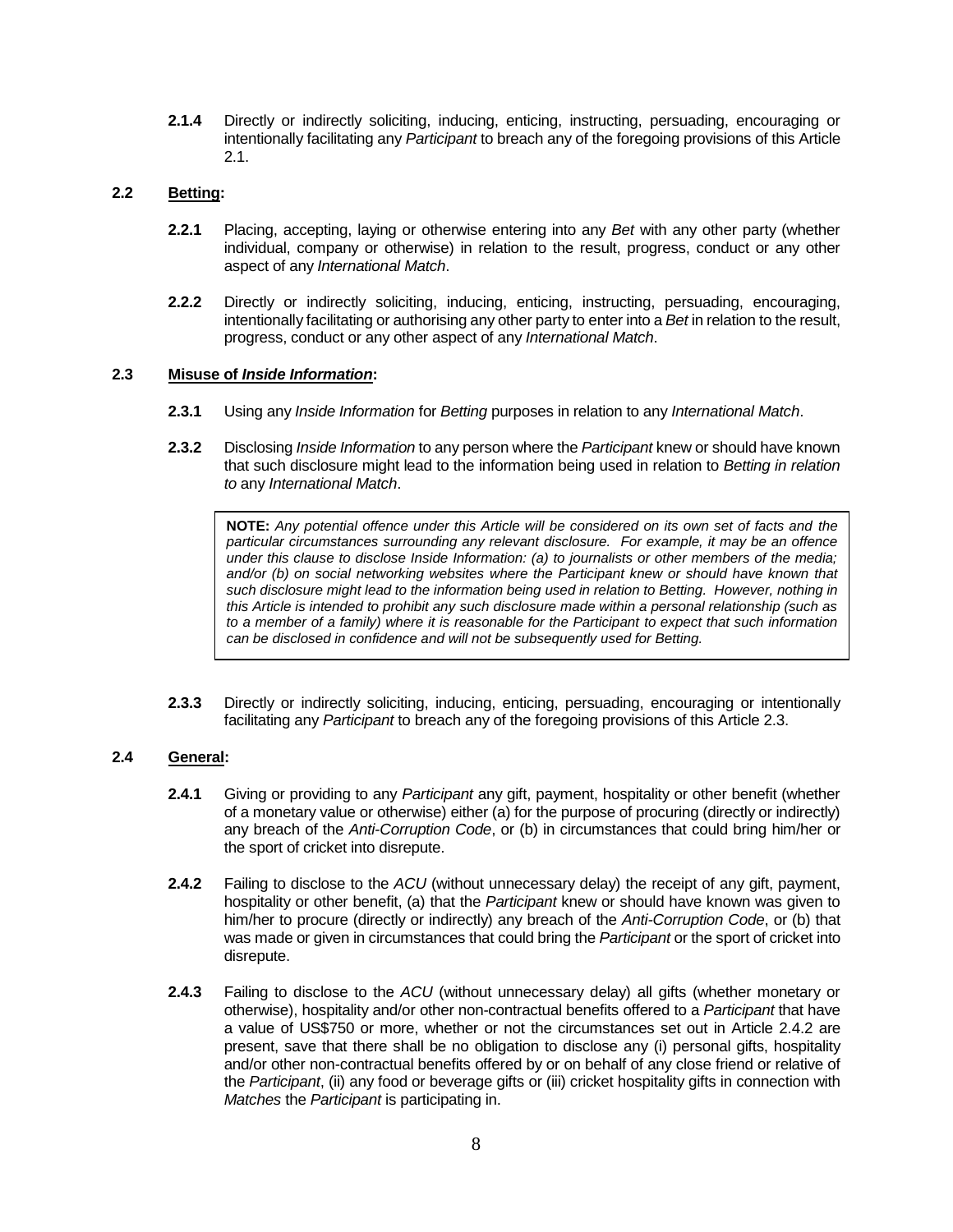**2.1.4** Directly or indirectly soliciting, inducing, enticing, instructing, persuading, encouraging or intentionally facilitating any *Participant* to breach any of the foregoing provisions of this Article 2.1.

#### **2.2 Betting:**

- **2.2.1** Placing, accepting, laying or otherwise entering into any *Bet* with any other party (whether individual, company or otherwise) in relation to the result, progress, conduct or any other aspect of any *International Match*.
- **2.2.2** Directly or indirectly soliciting, inducing, enticing, instructing, persuading, encouraging, intentionally facilitating or authorising any other party to enter into a *Bet* in relation to the result, progress, conduct or any other aspect of any *International Match*.

#### **2.3 Misuse of** *Inside Information***:**

- **2.3.1** Using any *Inside Information* for *Betting* purposes in relation to any *International Match*.
- **2.3.2** Disclosing *Inside Information* to any person where the *Participant* knew or should have known that such disclosure might lead to the information being used in relation to *Betting in relation to* any *International Match*.

**NOTE:** *Any potential offence under this Article will be considered on its own set of facts and the particular circumstances surrounding any relevant disclosure. For example, it may be an offence under this clause to disclose Inside Information: (a) to journalists or other members of the media; and/or (b) on social networking websites where the Participant knew or should have known that such disclosure might lead to the information being used in relation to Betting. However, nothing in this Article is intended to prohibit any such disclosure made within a personal relationship (such as to a member of a family) where it is reasonable for the Participant to expect that such information can be disclosed in confidence and will not be subsequently used for Betting.* 

**2.3.3** Directly or indirectly soliciting, inducing, enticing, persuading, encouraging or intentionally facilitating any *Participant* to breach any of the foregoing provisions of this Article 2.3.

#### **2.4 General:**

- **2.4.1** Giving or providing to any *Participant* any gift, payment, hospitality or other benefit (whether of a monetary value or otherwise) either (a) for the purpose of procuring (directly or indirectly) any breach of the *Anti-Corruption Code*, or (b) in circumstances that could bring him/her or the sport of cricket into disrepute.
- **2.4.2** Failing to disclose to the *ACU* (without unnecessary delay) the receipt of any gift, payment, hospitality or other benefit, (a) that the *Participant* knew or should have known was given to him/her to procure (directly or indirectly) any breach of the *Anti-Corruption Code*, or (b) that was made or given in circumstances that could bring the *Participant* or the sport of cricket into disrepute.
- **2.4.3** Failing to disclose to the *ACU* (without unnecessary delay) all gifts (whether monetary or otherwise), hospitality and/or other non-contractual benefits offered to a *Participant* that have a value of US\$750 or more, whether or not the circumstances set out in Article 2.4.2 are present, save that there shall be no obligation to disclose any (i) personal gifts, hospitality and/or other non-contractual benefits offered by or on behalf of any close friend or relative of the *Participant*, (ii) any food or beverage gifts or (iii) cricket hospitality gifts in connection with *Matches* the *Participant* is participating in.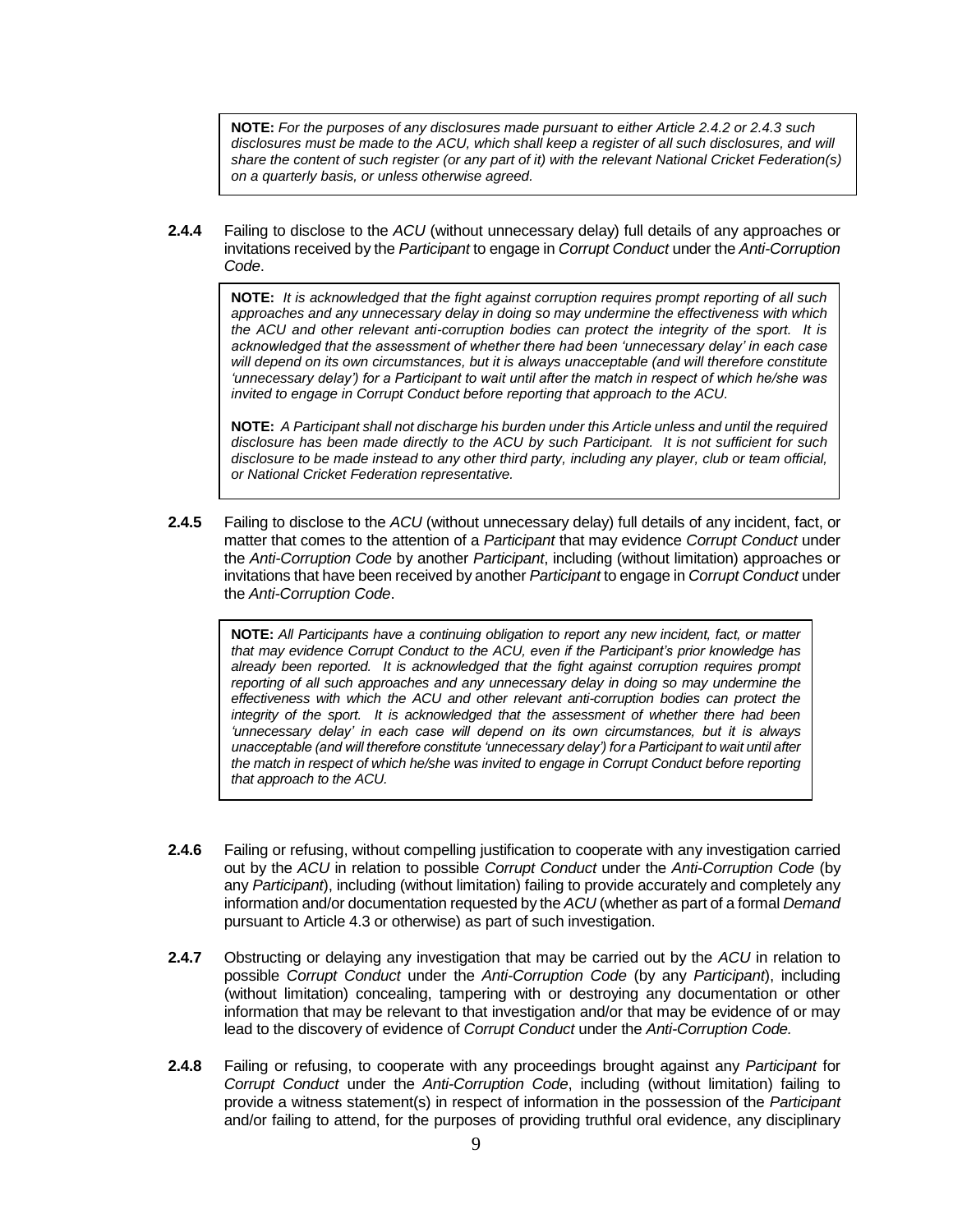**NOTE:** *For the purposes of any disclosures made pursuant to either Article 2.4.2 or 2.4.3 such*  disclosures must be made to the ACU, which shall keep a register of all such disclosures, and will *share the content of such register (or any part of it) with the relevant National Cricket Federation(s) on a quarterly basis, or unless otherwise agreed.* 

**2.4.4** Failing to disclose to the *ACU* (without unnecessary delay) full details of any approaches or invitations received by the *Participant* to engage in *Corrupt Conduct* under the *Anti-Corruption Code*.

**NOTE:** *It is acknowledged that the fight against corruption requires prompt reporting of all such approaches and any unnecessary delay in doing so may undermine the effectiveness with which the ACU and other relevant anti-corruption bodies can protect the integrity of the sport. It is acknowledged that the assessment of whether there had been 'unnecessary delay' in each case will depend on its own circumstances, but it is always unacceptable (and will therefore constitute 'unnecessary delay') for a Participant to wait until after the match in respect of which he/she was invited to engage in Corrupt Conduct before reporting that approach to the ACU.*

**NOTE:** *A Participant shall not discharge his burden under this Article unless and until the required disclosure has been made directly to the ACU by such Participant. It is not sufficient for such disclosure to be made instead to any other third party, including any player, club or team official, or National Cricket Federation representative.*

**2.4.5** Failing to disclose to the *ACU* (without unnecessary delay) full details of any incident, fact, or matter that comes to the attention of a *Participant* that may evidence *Corrupt Conduct* under the *Anti-Corruption Code* by another *Participant*, including (without limitation) approaches or invitations that have been received by another *Participant* to engage in *Corrupt Conduct* under the *Anti-Corruption Code*.

**NOTE:** *All Participants have a continuing obligation to report any new incident, fact, or matter that may evidence Corrupt Conduct to the ACU, even if the Participant's prior knowledge has already been reported. It is acknowledged that the fight against corruption requires prompt reporting of all such approaches and any unnecessary delay in doing so may undermine the effectiveness with which the ACU and other relevant anti-corruption bodies can protect the integrity of the sport. It is acknowledged that the assessment of whether there had been 'unnecessary delay' in each case will depend on its own circumstances, but it is always unacceptable (and will therefore constitute 'unnecessary delay') for a Participant to wait until after the match in respect of which he/she was invited to engage in Corrupt Conduct before reporting that approach to the ACU.* 

- **2.4.6** Failing or refusing, without compelling justification to cooperate with any investigation carried out by the *ACU* in relation to possible *Corrupt Conduct* under the *Anti-Corruption Code* (by any *Participant*), including (without limitation) failing to provide accurately and completely any information and/or documentation requested by the *ACU* (whether as part of a formal *Demand*  pursuant to Article 4.3 or otherwise) as part of such investigation.
- **2.4.7** Obstructing or delaying any investigation that may be carried out by the *ACU* in relation to possible *Corrupt Conduct* under the *Anti-Corruption Code* (by any *Participant*), including (without limitation) concealing, tampering with or destroying any documentation or other information that may be relevant to that investigation and/or that may be evidence of or may lead to the discovery of evidence of *Corrupt Conduct* under the *Anti-Corruption Code.*
- **2.4.8** Failing or refusing, to cooperate with any proceedings brought against any *Participant* for *Corrupt Conduct* under the *Anti-Corruption Code*, including (without limitation) failing to provide a witness statement(s) in respect of information in the possession of the *Participant* and/or failing to attend, for the purposes of providing truthful oral evidence, any disciplinary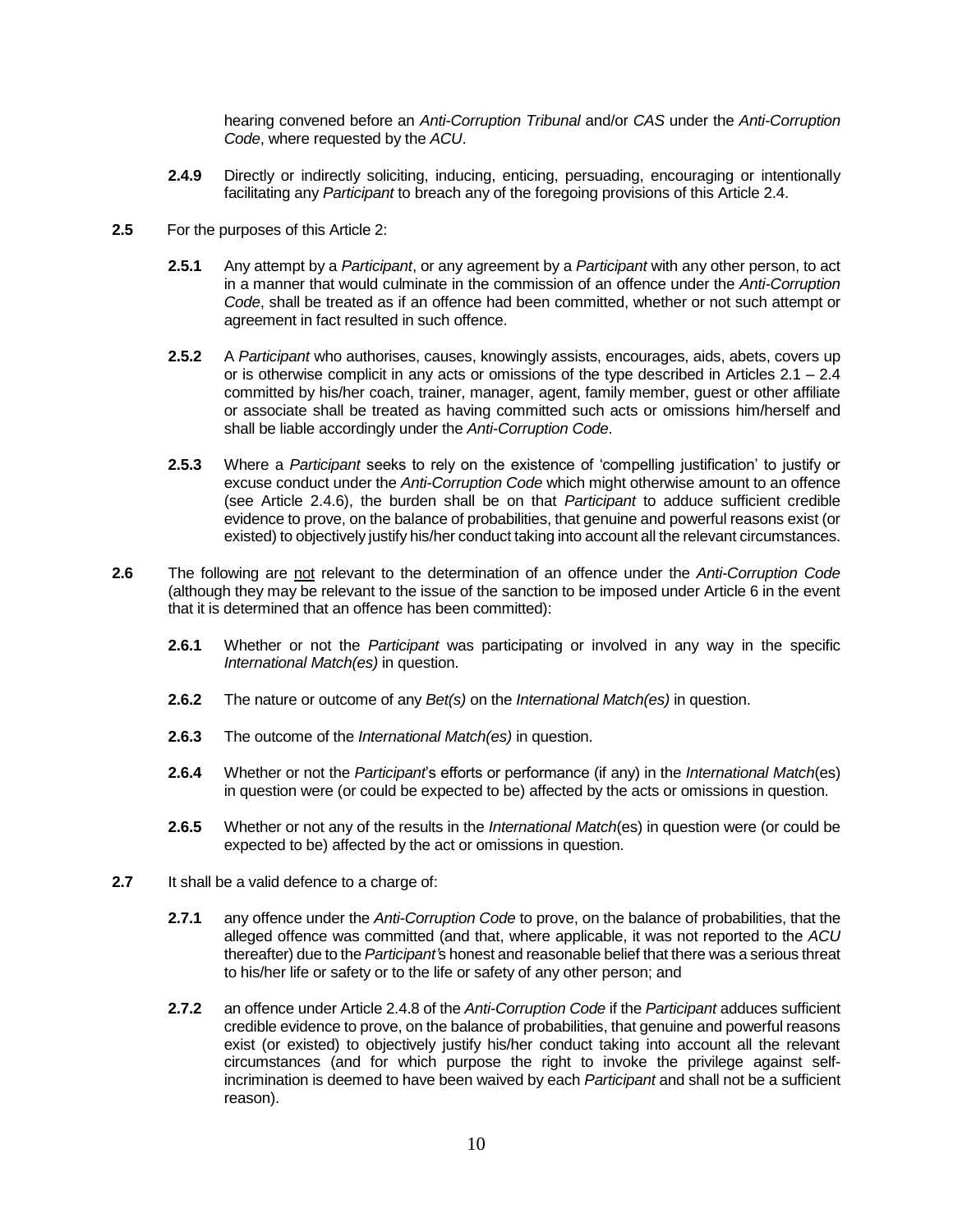hearing convened before an *Anti-Corruption Tribunal* and/or *CAS* under the *Anti-Corruption Code*, where requested by the *ACU*.

- **2.4.9** Directly or indirectly soliciting, inducing, enticing, persuading, encouraging or intentionally facilitating any *Participant* to breach any of the foregoing provisions of this Article 2.4.
- **2.5** For the purposes of this Article 2:
	- **2.5.1** Any attempt by a *Participant*, or any agreement by a *Participant* with any other person, to act in a manner that would culminate in the commission of an offence under the *Anti-Corruption Code*, shall be treated as if an offence had been committed, whether or not such attempt or agreement in fact resulted in such offence.
	- **2.5.2** A *Participant* who authorises, causes, knowingly assists, encourages, aids, abets, covers up or is otherwise complicit in any acts or omissions of the type described in Articles 2.1 – 2.4 committed by his/her coach, trainer, manager, agent, family member, guest or other affiliate or associate shall be treated as having committed such acts or omissions him/herself and shall be liable accordingly under the *Anti-Corruption Code*.
	- **2.5.3** Where a *Participant* seeks to rely on the existence of 'compelling justification' to justify or excuse conduct under the *Anti-Corruption Code* which might otherwise amount to an offence (see Article 2.4.6), the burden shall be on that *Participant* to adduce sufficient credible evidence to prove, on the balance of probabilities, that genuine and powerful reasons exist (or existed) to objectively justify his/her conduct taking into account all the relevant circumstances.
- **2.6** The following are not relevant to the determination of an offence under the *Anti-Corruption Code* (although they may be relevant to the issue of the sanction to be imposed under Article 6 in the event that it is determined that an offence has been committed):
	- **2.6.1** Whether or not the *Participant* was participating or involved in any way in the specific *International Match(es)* in question.
	- **2.6.2** The nature or outcome of any *Bet(s)* on the *International Match(es)* in question.
	- **2.6.3** The outcome of the *International Match(es)* in question.
	- **2.6.4** Whether or not the *Participant*'s efforts or performance (if any) in the *International Match*(es) in question were (or could be expected to be) affected by the acts or omissions in question.
	- **2.6.5** Whether or not any of the results in the *International Match*(es) in question were (or could be expected to be) affected by the act or omissions in question.
- **2.7** It shall be a valid defence to a charge of:
	- **2.7.1** any offence under the *Anti-Corruption Code* to prove, on the balance of probabilities, that the alleged offence was committed (and that, where applicable, it was not reported to the *ACU* thereafter) due to the *Participant'*s honest and reasonable belief that there was a serious threat to his/her life or safety or to the life or safety of any other person; and
	- **2.7.2** an offence under Article 2.4.8 of the *Anti-Corruption Code* if the *Participant* adduces sufficient credible evidence to prove, on the balance of probabilities, that genuine and powerful reasons exist (or existed) to objectively justify his/her conduct taking into account all the relevant circumstances (and for which purpose the right to invoke the privilege against selfincrimination is deemed to have been waived by each *Participant* and shall not be a sufficient reason).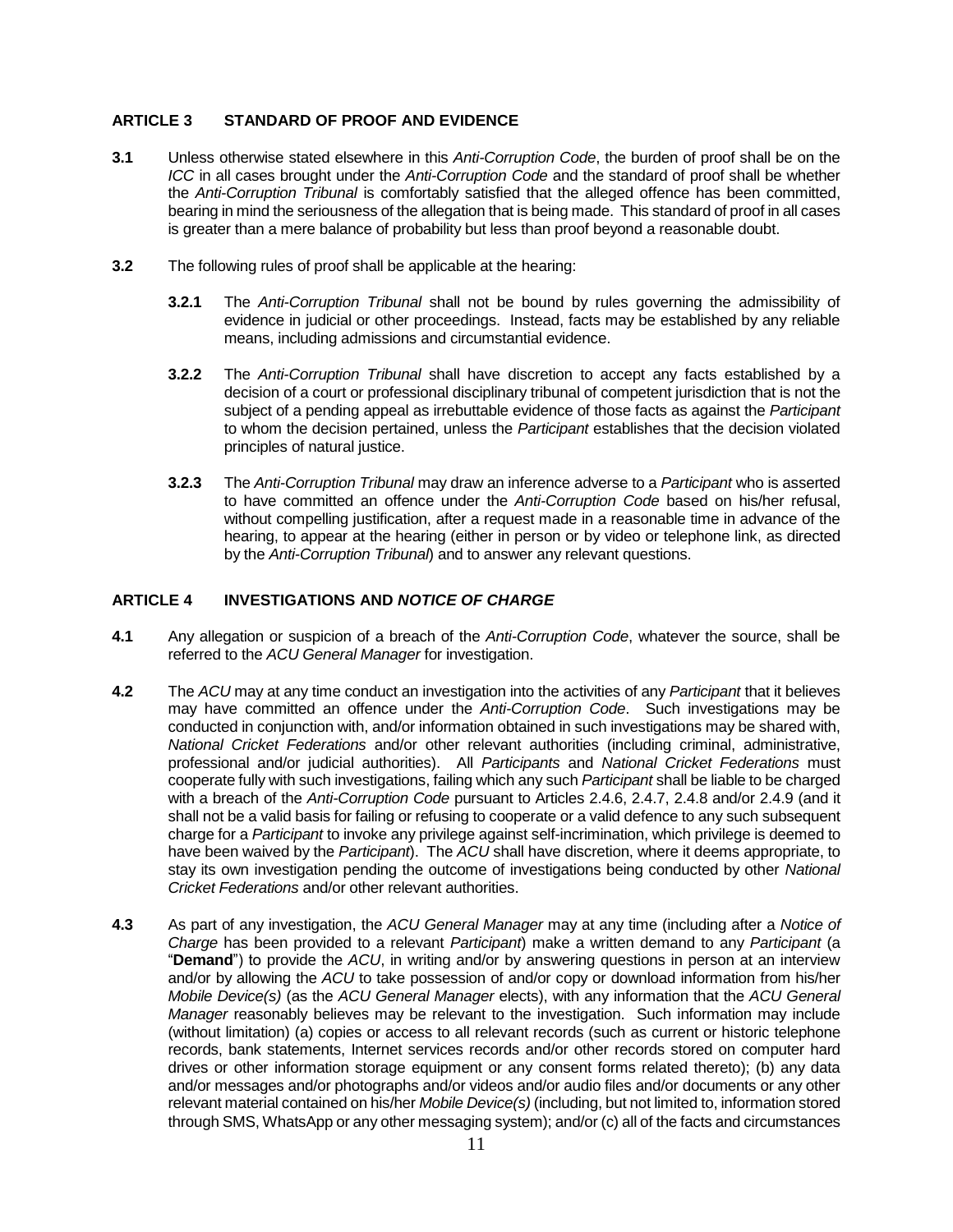#### **ARTICLE 3 STANDARD OF PROOF AND EVIDENCE**

- **3.1** Unless otherwise stated elsewhere in this *Anti-Corruption Code*, the burden of proof shall be on the *ICC* in all cases brought under the *Anti-Corruption Code* and the standard of proof shall be whether the *Anti-Corruption Tribunal* is comfortably satisfied that the alleged offence has been committed, bearing in mind the seriousness of the allegation that is being made. This standard of proof in all cases is greater than a mere balance of probability but less than proof beyond a reasonable doubt.
- **3.2** The following rules of proof shall be applicable at the hearing:
	- **3.2.1** The *Anti-Corruption Tribunal* shall not be bound by rules governing the admissibility of evidence in judicial or other proceedings. Instead, facts may be established by any reliable means, including admissions and circumstantial evidence.
	- **3.2.2** The *Anti-Corruption Tribunal* shall have discretion to accept any facts established by a decision of a court or professional disciplinary tribunal of competent jurisdiction that is not the subject of a pending appeal as irrebuttable evidence of those facts as against the *Participant* to whom the decision pertained, unless the *Participant* establishes that the decision violated principles of natural justice.
	- **3.2.3** The *Anti-Corruption Tribunal* may draw an inference adverse to a *Participant* who is asserted to have committed an offence under the *Anti-Corruption Code* based on his/her refusal, without compelling justification, after a request made in a reasonable time in advance of the hearing, to appear at the hearing (either in person or by video or telephone link, as directed by the *Anti-Corruption Tribunal*) and to answer any relevant questions.

#### **ARTICLE 4 INVESTIGATIONS AND** *NOTICE OF CHARGE*

- **4.1** Any allegation or suspicion of a breach of the *Anti-Corruption Code*, whatever the source, shall be referred to the *ACU General Manager* for investigation.
- **4.2** The *ACU* may at any time conduct an investigation into the activities of any *Participant* that it believes may have committed an offence under the *Anti-Corruption Code*. Such investigations may be conducted in conjunction with, and/or information obtained in such investigations may be shared with, *National Cricket Federations* and/or other relevant authorities (including criminal, administrative, professional and/or judicial authorities). All *Participants* and *National Cricket Federations* must cooperate fully with such investigations, failing which any such *Participant* shall be liable to be charged with a breach of the *Anti-Corruption Code* pursuant to Articles 2.4.6, 2.4.7, 2.4.8 and/or 2.4.9 (and it shall not be a valid basis for failing or refusing to cooperate or a valid defence to any such subsequent charge for a *Participant* to invoke any privilege against self-incrimination, which privilege is deemed to have been waived by the *Participant*). The *ACU* shall have discretion, where it deems appropriate, to stay its own investigation pending the outcome of investigations being conducted by other *National Cricket Federations* and/or other relevant authorities.
- **4.3** As part of any investigation, the *ACU General Manager* may at any time (including after a *Notice of Charge* has been provided to a relevant *Participant*) make a written demand to any *Participant* (a "**Demand**") to provide the *ACU*, in writing and/or by answering questions in person at an interview and/or by allowing the *ACU* to take possession of and/or copy or download information from his/her *Mobile Device(s)* (as the *ACU General Manager* elects), with any information that the *ACU General Manager* reasonably believes may be relevant to the investigation. Such information may include (without limitation) (a) copies or access to all relevant records (such as current or historic telephone records, bank statements, Internet services records and/or other records stored on computer hard drives or other information storage equipment or any consent forms related thereto); (b) any data and/or messages and/or photographs and/or videos and/or audio files and/or documents or any other relevant material contained on his/her *Mobile Device(s)* (including, but not limited to, information stored through SMS, WhatsApp or any other messaging system); and/or (c) all of the facts and circumstances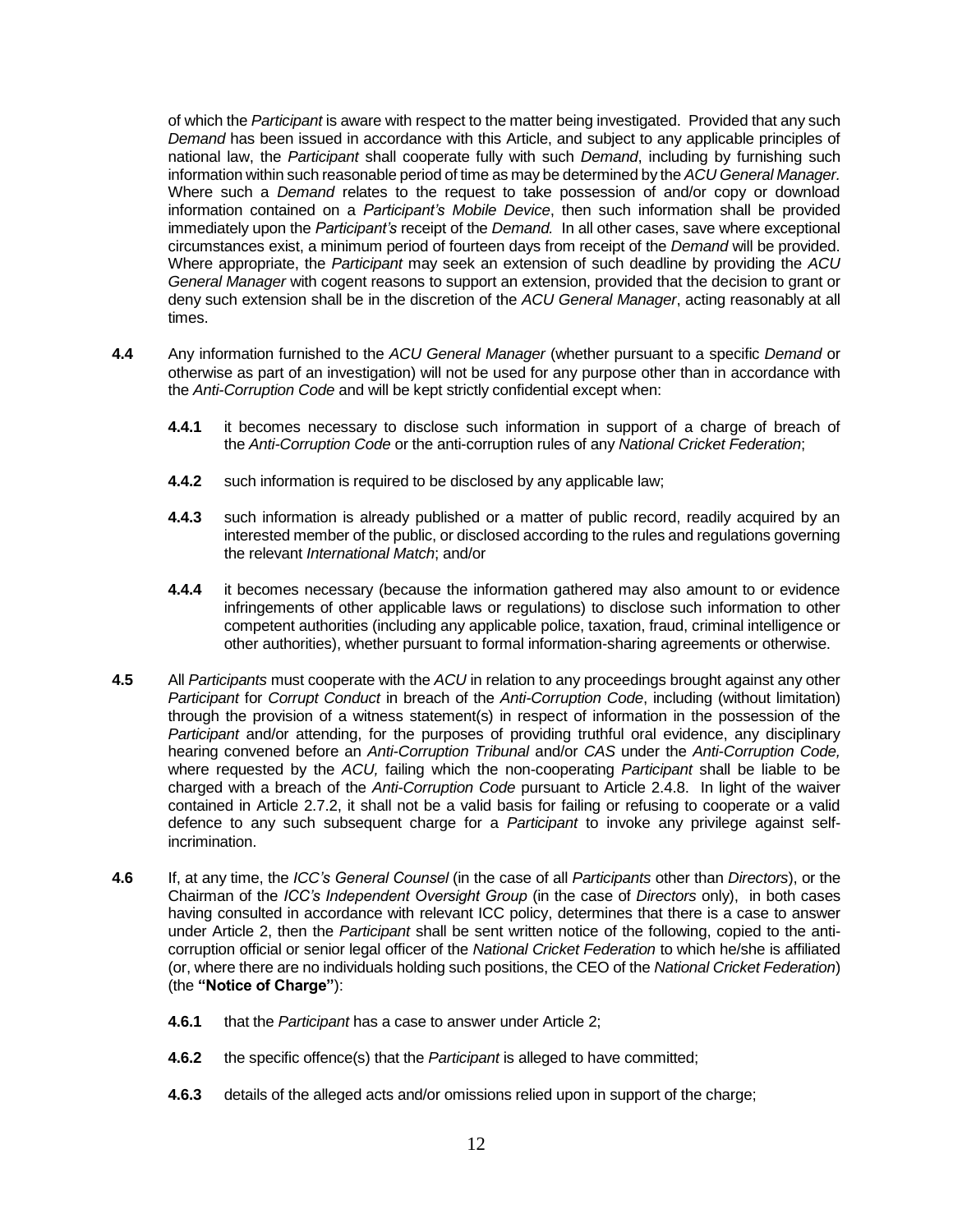of which the *Participant* is aware with respect to the matter being investigated. Provided that any such *Demand* has been issued in accordance with this Article, and subject to any applicable principles of national law, the *Participant* shall cooperate fully with such *Demand*, including by furnishing such information within such reasonable period of time as may be determined by the *ACU General Manager.* Where such a *Demand* relates to the request to take possession of and/or copy or download information contained on a *Participant's Mobile Device*, then such information shall be provided immediately upon the *Participant's* receipt of the *Demand.* In all other cases, save where exceptional circumstances exist, a minimum period of fourteen days from receipt of the *Demand* will be provided. Where appropriate, the *Participant* may seek an extension of such deadline by providing the *ACU General Manager* with cogent reasons to support an extension, provided that the decision to grant or deny such extension shall be in the discretion of the *ACU General Manager*, acting reasonably at all times.

- **4.4** Any information furnished to the *ACU General Manager* (whether pursuant to a specific *Demand* or otherwise as part of an investigation) will not be used for any purpose other than in accordance with the *Anti-Corruption Code* and will be kept strictly confidential except when:
	- **4.4.1** it becomes necessary to disclose such information in support of a charge of breach of the *Anti-Corruption Code* or the anti-corruption rules of any *National Cricket Federation*;
	- **4.4.2** such information is required to be disclosed by any applicable law;
	- **4.4.3** such information is already published or a matter of public record, readily acquired by an interested member of the public, or disclosed according to the rules and regulations governing the relevant *International Match*; and/or
	- **4.4.4** it becomes necessary (because the information gathered may also amount to or evidence infringements of other applicable laws or regulations) to disclose such information to other competent authorities (including any applicable police, taxation, fraud, criminal intelligence or other authorities), whether pursuant to formal information-sharing agreements or otherwise.
- **4.5** All *Participants* must cooperate with the *ACU* in relation to any proceedings brought against any other *Participant* for *Corrupt Conduct* in breach of the *Anti-Corruption Code*, including (without limitation) through the provision of a witness statement(s) in respect of information in the possession of the *Participant* and/or attending, for the purposes of providing truthful oral evidence, any disciplinary hearing convened before an *Anti-Corruption Tribunal* and/or *CAS* under the *Anti-Corruption Code,*  where requested by the *ACU,* failing which the non-cooperating *Participant* shall be liable to be charged with a breach of the *Anti-Corruption Code* pursuant to Article 2.4.8. In light of the waiver contained in Article 2.7.2, it shall not be a valid basis for failing or refusing to cooperate or a valid defence to any such subsequent charge for a *Participant* to invoke any privilege against selfincrimination.
- **4.6** If, at any time, the *ICC's General Counsel* (in the case of all *Participants* other than *Directors*), or the Chairman of the *ICC's Independent Oversight Group* (in the case of *Directors* only), in both cases having consulted in accordance with relevant ICC policy, determines that there is a case to answer under Article 2, then the *Participant* shall be sent written notice of the following, copied to the anticorruption official or senior legal officer of the *National Cricket Federation* to which he/she is affiliated (or, where there are no individuals holding such positions, the CEO of the *National Cricket Federation*) (the **"Notice of Charge"**):
	- **4.6.1** that the *Participant* has a case to answer under Article 2;
	- **4.6.2** the specific offence(s) that the *Participant* is alleged to have committed;
	- **4.6.3** details of the alleged acts and/or omissions relied upon in support of the charge;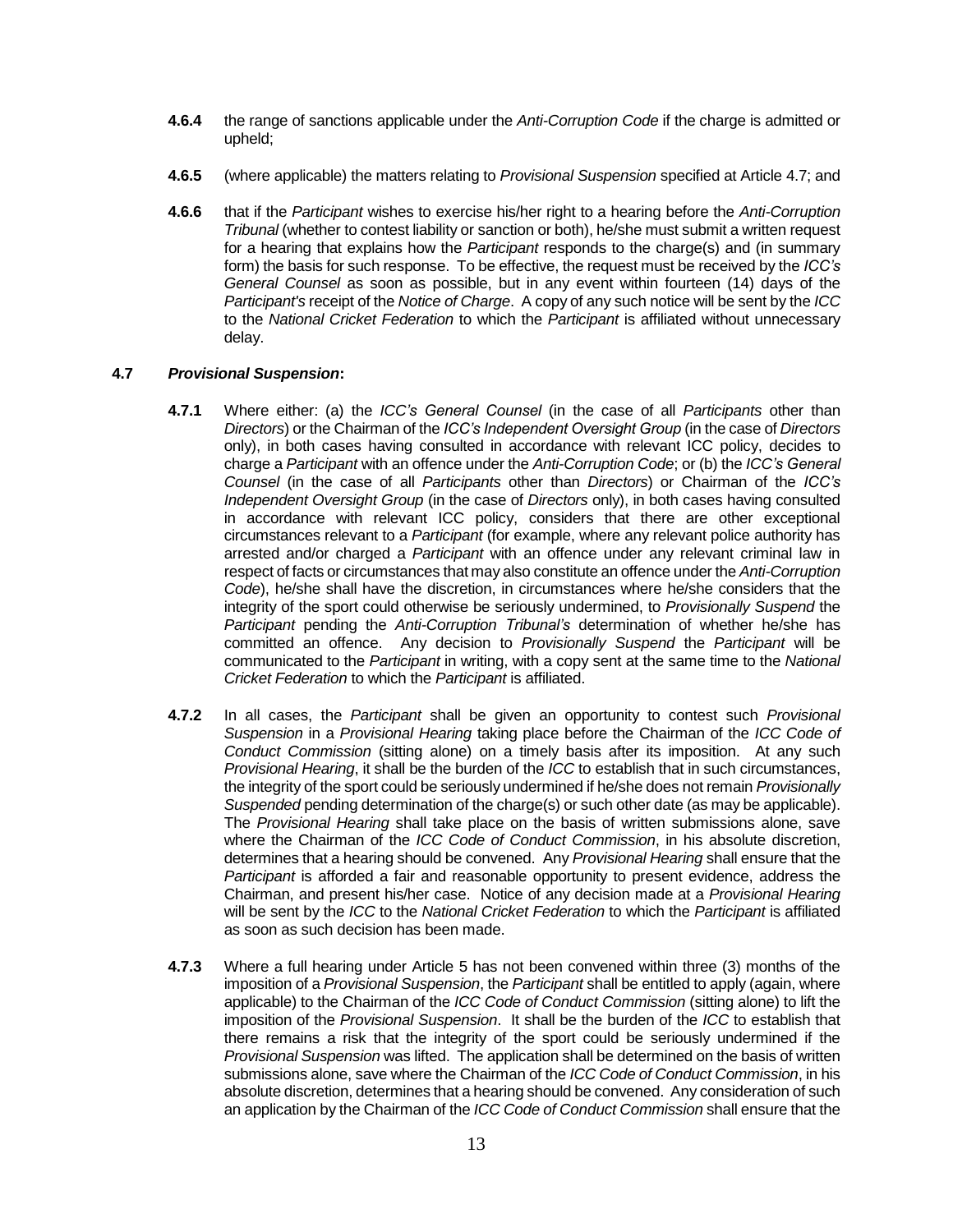- **4.6.4** the range of sanctions applicable under the *Anti-Corruption Code* if the charge is admitted or upheld;
- **4.6.5** (where applicable) the matters relating to *Provisional Suspension* specified at Article 4.7; and
- **4.6.6** that if the *Participant* wishes to exercise his/her right to a hearing before the *Anti-Corruption Tribunal* (whether to contest liability or sanction or both), he/she must submit a written request for a hearing that explains how the *Participant* responds to the charge(s) and (in summary form) the basis for such response. To be effective, the request must be received by the *ICC's General Counsel* as soon as possible, but in any event within fourteen (14) days of the *Participant's* receipt of the *Notice of Charge*. A copy of any such notice will be sent by the *ICC*  to the *National Cricket Federation* to which the *Participant* is affiliated without unnecessary delay.

#### **4.7** *Provisional Suspension***:**

- **4.7.1** Where either: (a) the *ICC's General Counsel* (in the case of all *Participants* other than *Directors*) or the Chairman of the *ICC's Independent Oversight Group* (in the case of *Directors*  only), in both cases having consulted in accordance with relevant ICC policy, decides to charge a *Participant* with an offence under the *Anti-Corruption Code*; or (b) the *ICC's General Counsel* (in the case of all *Participants* other than *Directors*) or Chairman of the *ICC's Independent Oversight Group* (in the case of *Directors* only), in both cases having consulted in accordance with relevant ICC policy, considers that there are other exceptional circumstances relevant to a *Participant* (for example, where any relevant police authority has arrested and/or charged a *Participant* with an offence under any relevant criminal law in respect of facts or circumstances that may also constitute an offence under the *Anti-Corruption Code*), he/she shall have the discretion, in circumstances where he/she considers that the integrity of the sport could otherwise be seriously undermined, to *Provisionally Suspend* the *Participant* pending the *Anti-Corruption Tribunal's* determination of whether he/she has committed an offence. Any decision to *Provisionally Suspend* the *Participant* will be communicated to the *Participant* in writing, with a copy sent at the same time to the *National Cricket Federation* to which the *Participant* is affiliated.
- **4.7.2** In all cases, the *Participant* shall be given an opportunity to contest such *Provisional Suspension* in a *Provisional Hearing* taking place before the Chairman of the *ICC Code of Conduct Commission* (sitting alone) on a timely basis after its imposition. At any such *Provisional Hearing*, it shall be the burden of the *ICC* to establish that in such circumstances, the integrity of the sport could be seriously undermined if he/she does not remain *Provisionally Suspended* pending determination of the charge(s) or such other date (as may be applicable). The *Provisional Hearing* shall take place on the basis of written submissions alone, save where the Chairman of the *ICC Code of Conduct Commission*, in his absolute discretion, determines that a hearing should be convened. Any *Provisional Hearing* shall ensure that the *Participant* is afforded a fair and reasonable opportunity to present evidence, address the Chairman, and present his/her case. Notice of any decision made at a *Provisional Hearing*  will be sent by the *ICC* to the *National Cricket Federation* to which the *Participant* is affiliated as soon as such decision has been made.
- **4.7.3** Where a full hearing under Article 5 has not been convened within three (3) months of the imposition of a *Provisional Suspension*, the *Participant* shall be entitled to apply (again, where applicable) to the Chairman of the *ICC Code of Conduct Commission* (sitting alone) to lift the imposition of the *Provisional Suspension*. It shall be the burden of the *ICC* to establish that there remains a risk that the integrity of the sport could be seriously undermined if the *Provisional Suspension* was lifted. The application shall be determined on the basis of written submissions alone, save where the Chairman of the *ICC Code of Conduct Commission*, in his absolute discretion, determines that a hearing should be convened. Any consideration of such an application by the Chairman of the *ICC Code of Conduct Commission* shall ensure that the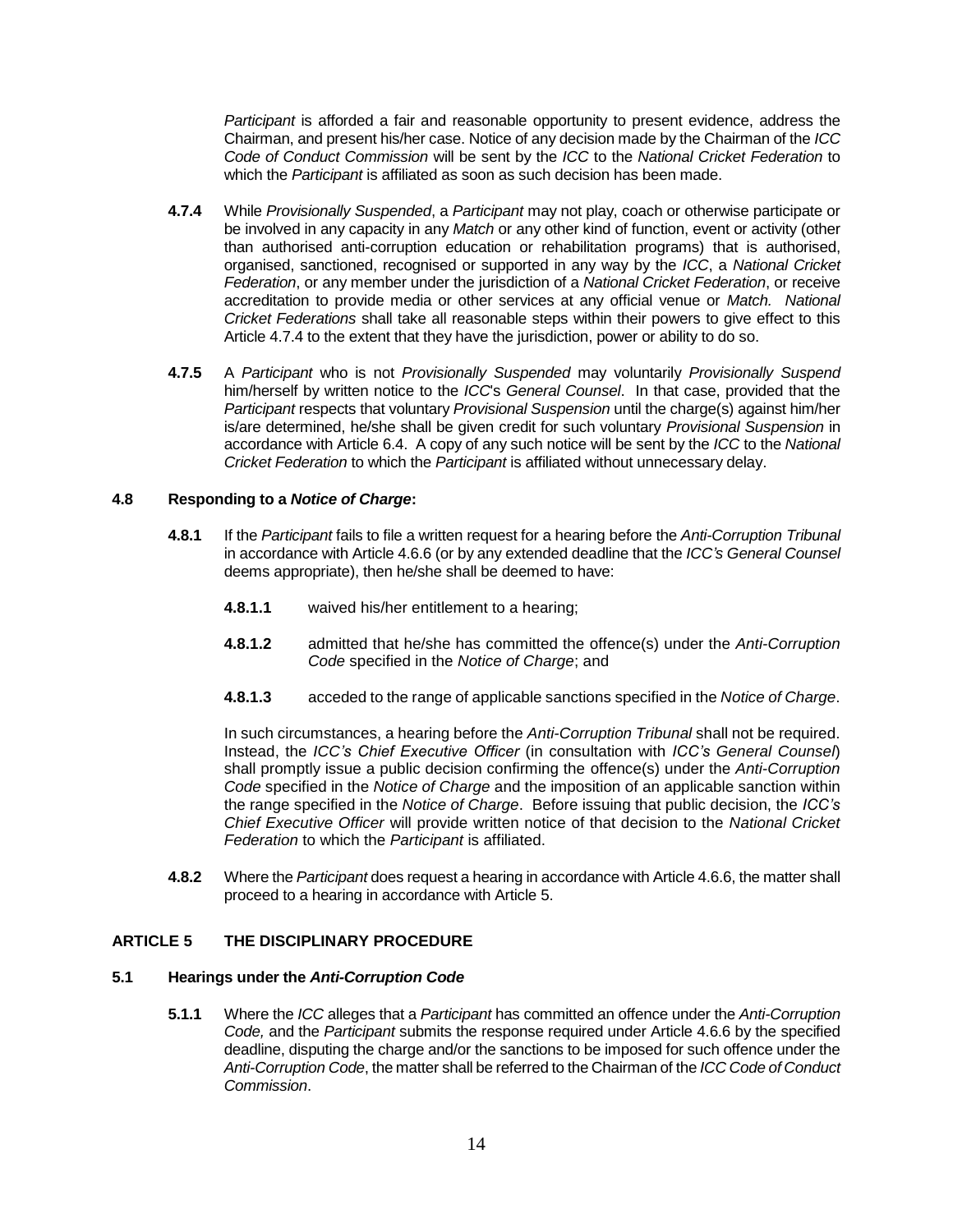*Participant* is afforded a fair and reasonable opportunity to present evidence, address the Chairman, and present his/her case. Notice of any decision made by the Chairman of the *ICC Code of Conduct Commission* will be sent by the *ICC* to the *National Cricket Federation* to which the *Participant* is affiliated as soon as such decision has been made.

- **4.7.4** While *Provisionally Suspended*, a *Participant* may not play, coach or otherwise participate or be involved in any capacity in any *Match* or any other kind of function, event or activity (other than authorised anti-corruption education or rehabilitation programs) that is authorised, organised, sanctioned, recognised or supported in any way by the *ICC*, a *National Cricket Federation*, or any member under the jurisdiction of a *National Cricket Federation*, or receive accreditation to provide media or other services at any official venue or *Match. National Cricket Federations* shall take all reasonable steps within their powers to give effect to this Article 4.7.4 to the extent that they have the jurisdiction, power or ability to do so.
- **4.7.5** A *Participant* who is not *Provisionally Suspended* may voluntarily *Provisionally Suspend*  him/herself by written notice to the *ICC*'s *General Counsel*. In that case, provided that the *Participant* respects that voluntary *Provisional Suspension* until the charge(s) against him/her is/are determined, he/she shall be given credit for such voluntary *Provisional Suspension* in accordance with Article 6.4. A copy of any such notice will be sent by the *ICC* to the *National Cricket Federation* to which the *Participant* is affiliated without unnecessary delay.

#### **4.8 Responding to a** *Notice of Charge***:**

- **4.8.1** If the *Participant* fails to file a written request for a hearing before the *Anti-Corruption Tribunal*  in accordance with Article 4.6.6 (or by any extended deadline that the *ICC's General Counsel* deems appropriate), then he/she shall be deemed to have:
	- **4.8.1.1** waived his/her entitlement to a hearing;
	- **4.8.1.2** admitted that he/she has committed the offence(s) under the *Anti-Corruption Code* specified in the *Notice of Charge*; and
	- **4.8.1.3** acceded to the range of applicable sanctions specified in the *Notice of Charge*.

In such circumstances, a hearing before the *Anti-Corruption Tribunal* shall not be required. Instead, the *ICC's Chief Executive Officer* (in consultation with *ICC's General Counsel*) shall promptly issue a public decision confirming the offence(s) under the *Anti-Corruption Code* specified in the *Notice of Charge* and the imposition of an applicable sanction within the range specified in the *Notice of Charge*. Before issuing that public decision, the *ICC's Chief Executive Officer* will provide written notice of that decision to the *National Cricket Federation* to which the *Participant* is affiliated.

**4.8.2** Where the *Participant* does request a hearing in accordance with Article 4.6.6, the matter shall proceed to a hearing in accordance with Article 5.

#### **ARTICLE 5 THE DISCIPLINARY PROCEDURE**

#### **5.1 Hearings under the** *Anti-Corruption Code*

**5.1.1** Where the *ICC* alleges that a *Participant* has committed an offence under the *Anti-Corruption Code,* and the *Participant* submits the response required under Article 4.6.6 by the specified deadline, disputing the charge and/or the sanctions to be imposed for such offence under the *Anti-Corruption Code*, the matter shall be referred to the Chairman of the *ICC Code of Conduct Commission*.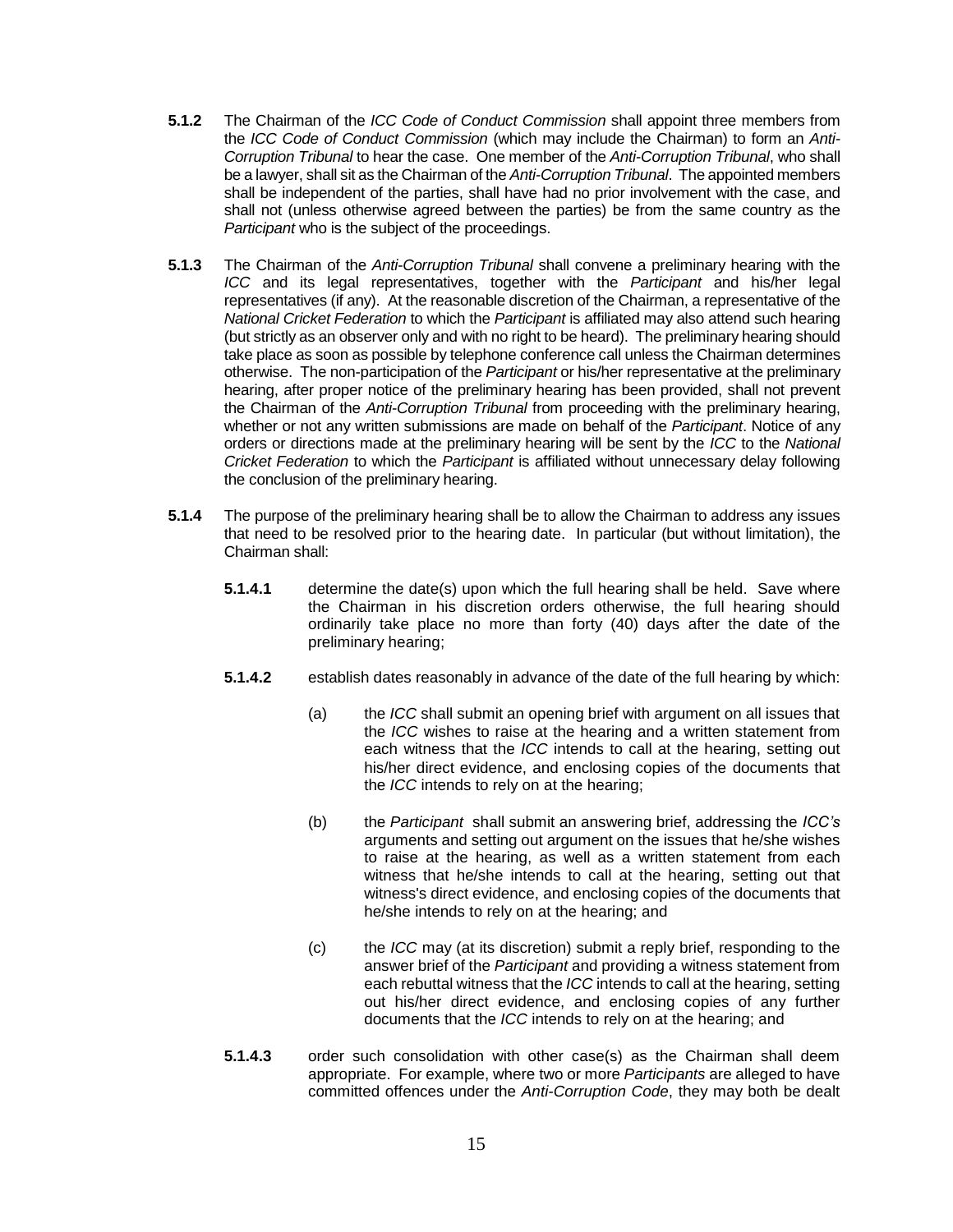- **5.1.2** The Chairman of the *ICC Code of Conduct Commission* shall appoint three members from the *ICC Code of Conduct Commission* (which may include the Chairman) to form an *Anti-Corruption Tribunal* to hear the case. One member of the *Anti-Corruption Tribunal*, who shall be a lawyer, shall sit as the Chairman of the *Anti-Corruption Tribunal*. The appointed members shall be independent of the parties, shall have had no prior involvement with the case, and shall not (unless otherwise agreed between the parties) be from the same country as the *Participant* who is the subject of the proceedings.
- **5.1.3** The Chairman of the *Anti-Corruption Tribunal* shall convene a preliminary hearing with the *ICC* and its legal representatives, together with the *Participant* and his/her legal representatives (if any). At the reasonable discretion of the Chairman, a representative of the *National Cricket Federation* to which the *Participant* is affiliated may also attend such hearing (but strictly as an observer only and with no right to be heard). The preliminary hearing should take place as soon as possible by telephone conference call unless the Chairman determines otherwise. The non-participation of the *Participant* or his/her representative at the preliminary hearing, after proper notice of the preliminary hearing has been provided, shall not prevent the Chairman of the *Anti-Corruption Tribunal* from proceeding with the preliminary hearing, whether or not any written submissions are made on behalf of the *Participant*. Notice of any orders or directions made at the preliminary hearing will be sent by the *ICC* to the *National Cricket Federation* to which the *Participant* is affiliated without unnecessary delay following the conclusion of the preliminary hearing.
- **5.1.4** The purpose of the preliminary hearing shall be to allow the Chairman to address any issues that need to be resolved prior to the hearing date. In particular (but without limitation), the Chairman shall:
	- **5.1.4.1** determine the date(s) upon which the full hearing shall be held. Save where the Chairman in his discretion orders otherwise, the full hearing should ordinarily take place no more than forty (40) days after the date of the preliminary hearing;
	- **5.1.4.2** establish dates reasonably in advance of the date of the full hearing by which:
		- (a) the *ICC* shall submit an opening brief with argument on all issues that the *ICC* wishes to raise at the hearing and a written statement from each witness that the *ICC* intends to call at the hearing, setting out his/her direct evidence, and enclosing copies of the documents that the *ICC* intends to rely on at the hearing;
		- (b) the *Participant* shall submit an answering brief, addressing the *ICC's* arguments and setting out argument on the issues that he/she wishes to raise at the hearing, as well as a written statement from each witness that he/she intends to call at the hearing, setting out that witness's direct evidence, and enclosing copies of the documents that he/she intends to rely on at the hearing; and
		- (c) the *ICC* may (at its discretion) submit a reply brief, responding to the answer brief of the *Participant* and providing a witness statement from each rebuttal witness that the *ICC* intends to call at the hearing, setting out his/her direct evidence, and enclosing copies of any further documents that the *ICC* intends to rely on at the hearing; and
	- **5.1.4.3** order such consolidation with other case(s) as the Chairman shall deem appropriate. For example, where two or more *Participants* are alleged to have committed offences under the *Anti-Corruption Code*, they may both be dealt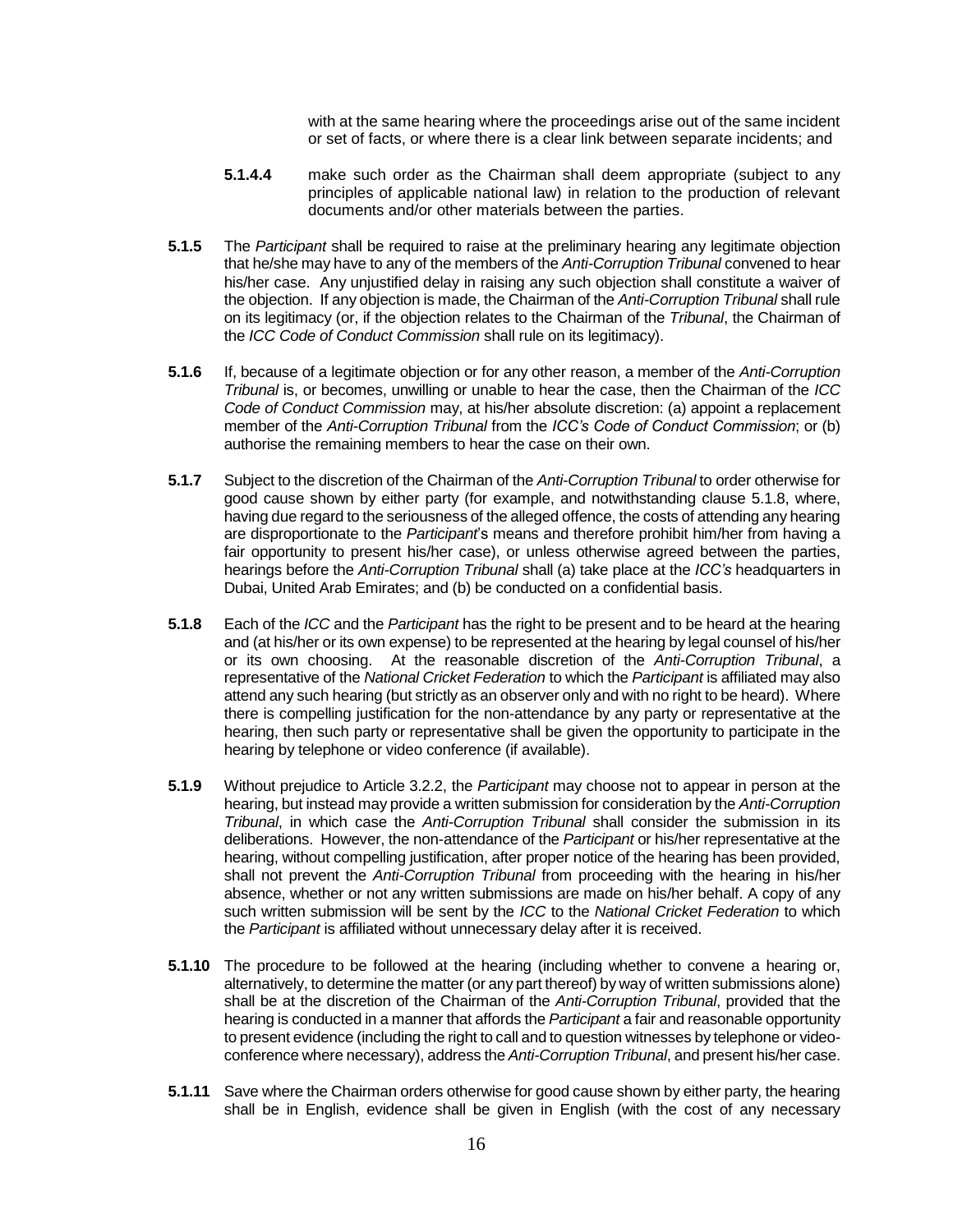with at the same hearing where the proceedings arise out of the same incident or set of facts, or where there is a clear link between separate incidents; and

- **5.1.4.4** make such order as the Chairman shall deem appropriate (subject to any principles of applicable national law) in relation to the production of relevant documents and/or other materials between the parties.
- **5.1.5** The *Participant* shall be required to raise at the preliminary hearing any legitimate objection that he/she may have to any of the members of the *Anti-Corruption Tribunal* convened to hear his/her case. Any unjustified delay in raising any such objection shall constitute a waiver of the objection. If any objection is made, the Chairman of the *Anti-Corruption Tribunal* shall rule on its legitimacy (or, if the objection relates to the Chairman of the *Tribunal*, the Chairman of the *ICC Code of Conduct Commission* shall rule on its legitimacy).
- **5.1.6** If, because of a legitimate objection or for any other reason, a member of the *Anti-Corruption Tribunal* is, or becomes, unwilling or unable to hear the case, then the Chairman of the *ICC Code of Conduct Commission* may, at his/her absolute discretion: (a) appoint a replacement member of the *Anti-Corruption Tribunal* from the *ICC's Code of Conduct Commission*; or (b) authorise the remaining members to hear the case on their own.
- **5.1.7** Subject to the discretion of the Chairman of the *Anti-Corruption Tribunal* to order otherwise for good cause shown by either party (for example, and notwithstanding clause 5.1.8, where, having due regard to the seriousness of the alleged offence, the costs of attending any hearing are disproportionate to the *Participant*'s means and therefore prohibit him/her from having a fair opportunity to present his/her case), or unless otherwise agreed between the parties, hearings before the *Anti-Corruption Tribunal* shall (a) take place at the *ICC's* headquarters in Dubai, United Arab Emirates; and (b) be conducted on a confidential basis.
- **5.1.8** Each of the *ICC* and the *Participant* has the right to be present and to be heard at the hearing and (at his/her or its own expense) to be represented at the hearing by legal counsel of his/her or its own choosing. At the reasonable discretion of the *Anti-Corruption Tribunal*, a representative of the *National Cricket Federation* to which the *Participant* is affiliated may also attend any such hearing (but strictly as an observer only and with no right to be heard). Where there is compelling justification for the non-attendance by any party or representative at the hearing, then such party or representative shall be given the opportunity to participate in the hearing by telephone or video conference (if available).
- **5.1.9** Without prejudice to Article 3.2.2, the *Participant* may choose not to appear in person at the hearing, but instead may provide a written submission for consideration by the *Anti-Corruption Tribunal*, in which case the *Anti-Corruption Tribunal* shall consider the submission in its deliberations. However, the non-attendance of the *Participant* or his/her representative at the hearing, without compelling justification, after proper notice of the hearing has been provided, shall not prevent the *Anti-Corruption Tribunal* from proceeding with the hearing in his/her absence, whether or not any written submissions are made on his/her behalf. A copy of any such written submission will be sent by the *ICC* to the *National Cricket Federation* to which the *Participant* is affiliated without unnecessary delay after it is received.
- **5.1.10** The procedure to be followed at the hearing (including whether to convene a hearing or, alternatively, to determine the matter (or any part thereof) by way of written submissions alone) shall be at the discretion of the Chairman of the *Anti-Corruption Tribunal*, provided that the hearing is conducted in a manner that affords the *Participant* a fair and reasonable opportunity to present evidence (including the right to call and to question witnesses by telephone or videoconference where necessary), address the *Anti-Corruption Tribunal*, and present his/her case.
- **5.1.11** Save where the Chairman orders otherwise for good cause shown by either party, the hearing shall be in English, evidence shall be given in English (with the cost of any necessary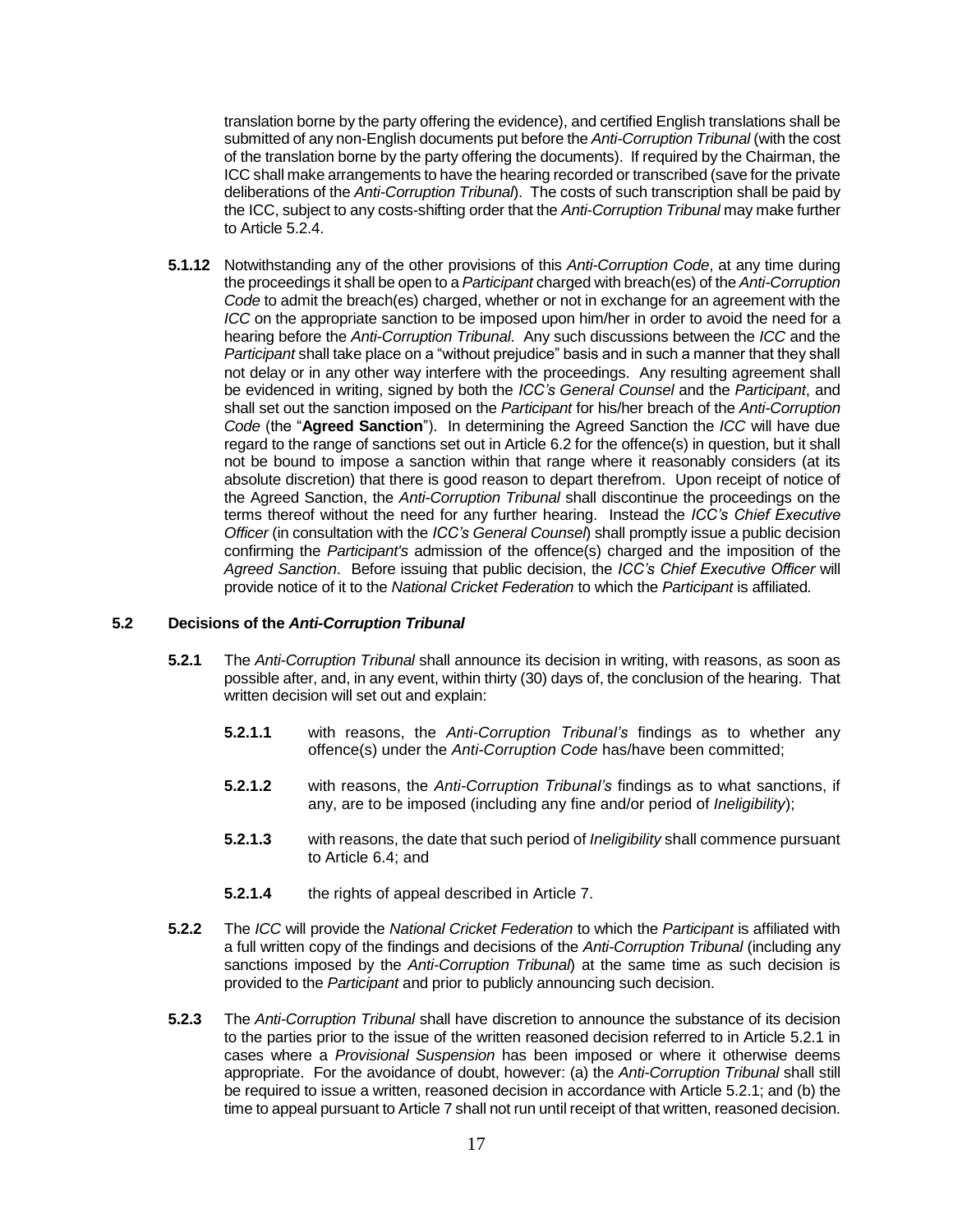translation borne by the party offering the evidence), and certified English translations shall be submitted of any non-English documents put before the *Anti-Corruption Tribunal* (with the cost of the translation borne by the party offering the documents). If required by the Chairman, the ICC shall make arrangements to have the hearing recorded or transcribed (save for the private deliberations of the *Anti-Corruption Tribunal*). The costs of such transcription shall be paid by the ICC, subject to any costs-shifting order that the *Anti-Corruption Tribunal* may make further to Article 5.2.4.

**5.1.12** Notwithstanding any of the other provisions of this *Anti-Corruption Code*, at any time during the proceedings it shall be open to a *Participant* charged with breach(es) of the *Anti-Corruption Code* to admit the breach(es) charged, whether or not in exchange for an agreement with the *ICC* on the appropriate sanction to be imposed upon him/her in order to avoid the need for a hearing before the *Anti-Corruption Tribunal*. Any such discussions between the *ICC* and the *Participant* shall take place on a "without prejudice" basis and in such a manner that they shall not delay or in any other way interfere with the proceedings. Any resulting agreement shall be evidenced in writing, signed by both the *ICC's General Counsel* and the *Participant*, and shall set out the sanction imposed on the *Participant* for his/her breach of the *Anti-Corruption Code* (the "**Agreed Sanction**"). In determining the Agreed Sanction the *ICC* will have due regard to the range of sanctions set out in Article 6.2 for the offence(s) in question, but it shall not be bound to impose a sanction within that range where it reasonably considers (at its absolute discretion) that there is good reason to depart therefrom. Upon receipt of notice of the Agreed Sanction, the *Anti-Corruption Tribunal* shall discontinue the proceedings on the terms thereof without the need for any further hearing. Instead the *ICC's Chief Executive Officer* (in consultation with the *ICC's General Counsel*) shall promptly issue a public decision confirming the *Participant's* admission of the offence(s) charged and the imposition of the *Agreed Sanction*. Before issuing that public decision, the *ICC's Chief Executive Officer* will provide notice of it to the *National Cricket Federation* to which the *Participant* is affiliated*.*

#### **5.2 Decisions of the** *Anti-Corruption Tribunal*

- **5.2.1** The *Anti-Corruption Tribunal* shall announce its decision in writing, with reasons, as soon as possible after, and, in any event, within thirty (30) days of, the conclusion of the hearing. That written decision will set out and explain:
	- **5.2.1.1** with reasons, the *Anti-Corruption Tribunal's* findings as to whether any offence(s) under the *Anti-Corruption Code* has/have been committed;
	- **5.2.1.2** with reasons, the *Anti-Corruption Tribunal's* findings as to what sanctions, if any, are to be imposed (including any fine and/or period of *Ineligibility*);
	- **5.2.1.3** with reasons, the date that such period of *Ineligibility* shall commence pursuant to Article 6.4; and
	- **5.2.1.4** the rights of appeal described in Article 7.
- **5.2.2** The *ICC* will provide the *National Cricket Federation* to which the *Participant* is affiliated with a full written copy of the findings and decisions of the *Anti-Corruption Tribunal* (including any sanctions imposed by the *Anti-Corruption Tribunal*) at the same time as such decision is provided to the *Participant* and prior to publicly announcing such decision.
- **5.2.3** The *Anti-Corruption Tribunal* shall have discretion to announce the substance of its decision to the parties prior to the issue of the written reasoned decision referred to in Article 5.2.1 in cases where a *Provisional Suspension* has been imposed or where it otherwise deems appropriate. For the avoidance of doubt, however: (a) the *Anti-Corruption Tribunal* shall still be required to issue a written, reasoned decision in accordance with Article 5.2.1; and (b) the time to appeal pursuant to Article 7 shall not run until receipt of that written, reasoned decision.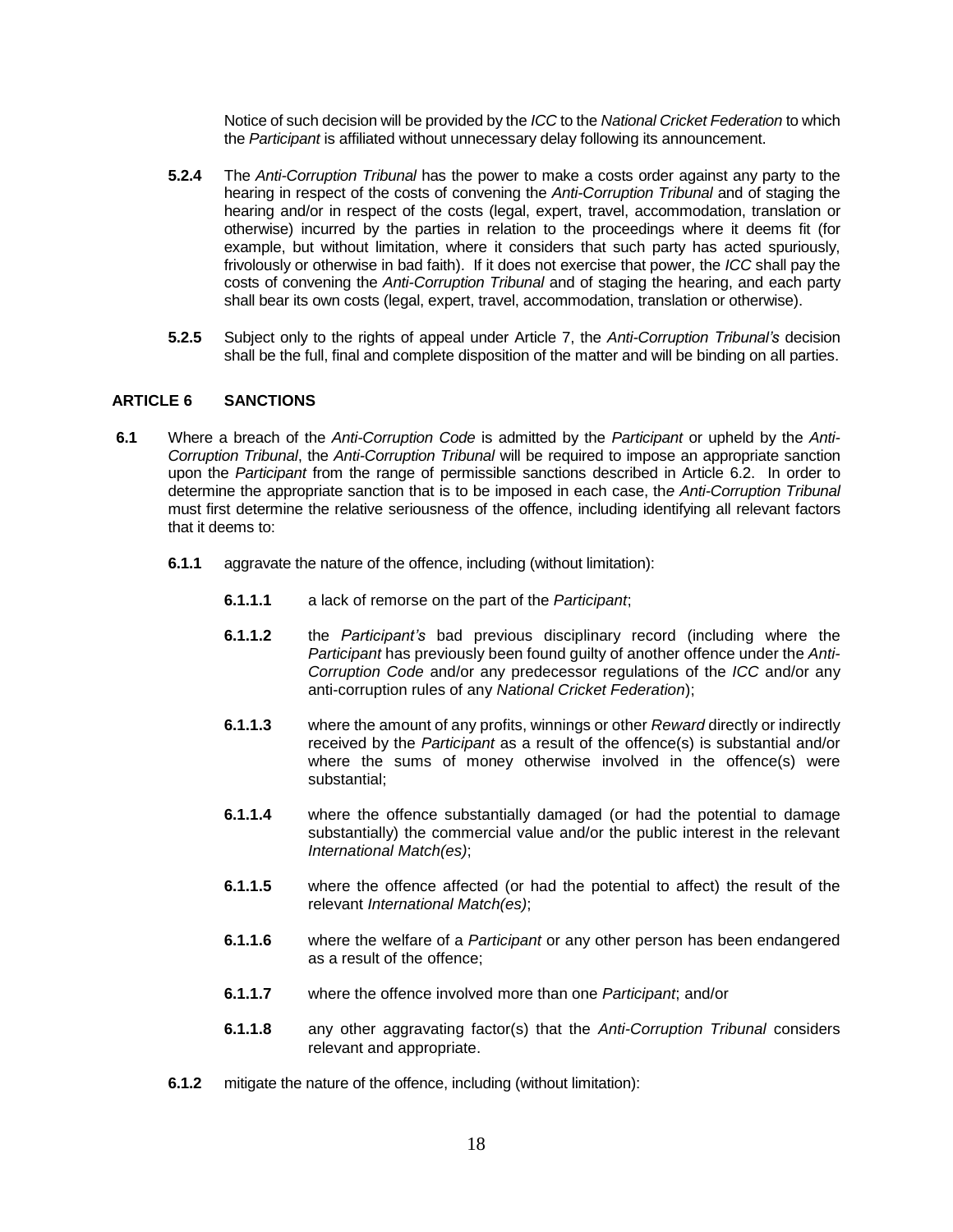Notice of such decision will be provided by the *ICC* to the *National Cricket Federation* to which the *Participant* is affiliated without unnecessary delay following its announcement.

- **5.2.4** The *Anti-Corruption Tribunal* has the power to make a costs order against any party to the hearing in respect of the costs of convening the *Anti-Corruption Tribunal* and of staging the hearing and/or in respect of the costs (legal, expert, travel, accommodation, translation or otherwise) incurred by the parties in relation to the proceedings where it deems fit (for example, but without limitation, where it considers that such party has acted spuriously, frivolously or otherwise in bad faith). If it does not exercise that power, the *ICC* shall pay the costs of convening the *Anti-Corruption Tribunal* and of staging the hearing, and each party shall bear its own costs (legal, expert, travel, accommodation, translation or otherwise).
- **5.2.5** Subject only to the rights of appeal under Article 7, the *Anti-Corruption Tribunal's* decision shall be the full, final and complete disposition of the matter and will be binding on all parties.

#### **ARTICLE 6 SANCTIONS**

- **6.1** Where a breach of the *Anti-Corruption Code* is admitted by the *Participant* or upheld by the *Anti-Corruption Tribunal*, the *Anti-Corruption Tribunal* will be required to impose an appropriate sanction upon the *Participant* from the range of permissible sanctions described in Article 6.2. In order to determine the appropriate sanction that is to be imposed in each case, th*e Anti-Corruption Tribunal*  must first determine the relative seriousness of the offence, including identifying all relevant factors that it deems to:
	- **6.1.1** aggravate the nature of the offence, including (without limitation):
		- **6.1.1.1** a lack of remorse on the part of the *Participant*;
		- **6.1.1.2** the *Participant's* bad previous disciplinary record (including where the *Participant* has previously been found guilty of another offence under the *Anti-Corruption Code* and/or any predecessor regulations of the *ICC* and/or any anti-corruption rules of any *National Cricket Federation*);
		- **6.1.1.3** where the amount of any profits, winnings or other *Reward* directly or indirectly received by the *Participant* as a result of the offence(s) is substantial and/or where the sums of money otherwise involved in the offence(s) were substantial;
		- **6.1.1.4** where the offence substantially damaged (or had the potential to damage substantially) the commercial value and/or the public interest in the relevant *International Match(es)*;
		- **6.1.1.5** where the offence affected (or had the potential to affect) the result of the relevant *International Match(es)*;
		- **6.1.1.6** where the welfare of a *Participant* or any other person has been endangered as a result of the offence;
		- **6.1.1.7** where the offence involved more than one *Participant*; and/or
		- **6.1.1.8** any other aggravating factor(s) that the *Anti-Corruption Tribunal* considers relevant and appropriate.
	- **6.1.2** mitigate the nature of the offence, including (without limitation):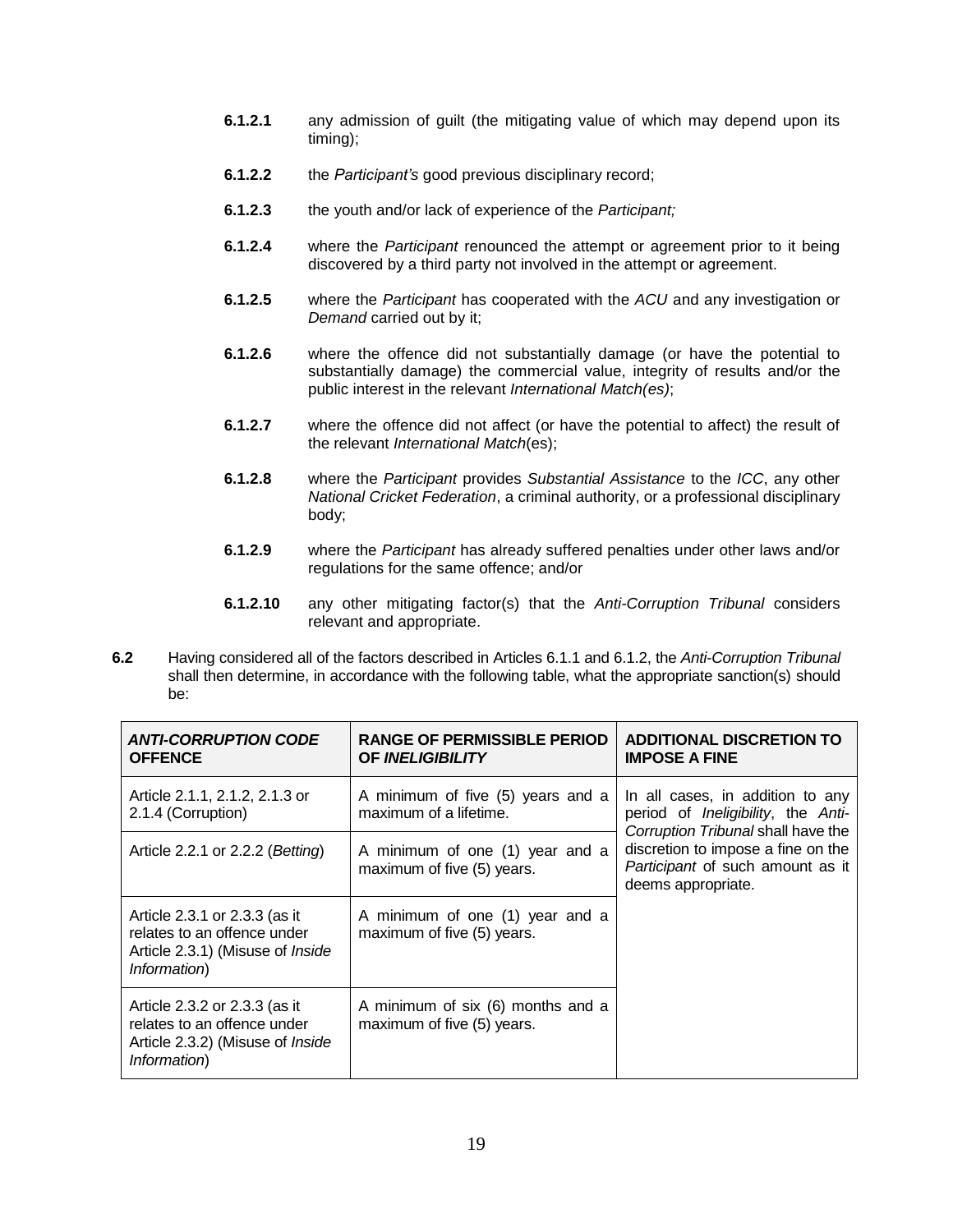- **6.1.2.1** any admission of guilt (the mitigating value of which may depend upon its timing);
- **6.1.2.2** the *Participant's* good previous disciplinary record;
- **6.1.2.3** the youth and/or lack of experience of the *Participant;*
- **6.1.2.4** where the *Participant* renounced the attempt or agreement prior to it being discovered by a third party not involved in the attempt or agreement.
- **6.1.2.5** where the *Participant* has cooperated with the *ACU* and any investigation or *Demand* carried out by it;
- **6.1.2.6** where the offence did not substantially damage (or have the potential to substantially damage) the commercial value, integrity of results and/or the public interest in the relevant *International Match(es)*;
- **6.1.2.7** where the offence did not affect (or have the potential to affect) the result of the relevant *International Match*(es);
- **6.1.2.8** where the *Participant* provides *Substantial Assistance* to the *ICC*, any other *National Cricket Federation*, a criminal authority, or a professional disciplinary body;
- **6.1.2.9** where the *Participant* has already suffered penalties under other laws and/or regulations for the same offence; and/or
- **6.1.2.10** any other mitigating factor(s) that the *Anti-Corruption Tribunal* considers relevant and appropriate.
- **6.2** Having considered all of the factors described in Articles 6.1.1 and 6.1.2, the *Anti-Corruption Tribunal*  shall then determine, in accordance with the following table, what the appropriate sanction(s) should be:

| <b>ANTI-CORRUPTION CODE</b><br><b>OFFENCE</b>                                                                           | <b>RANGE OF PERMISSIBLE PERIOD</b><br><b>OF INELIGIBILITY</b>   | <b>ADDITIONAL DISCRETION TO</b><br><b>IMPOSE A FINE</b>                                                                                                                                                              |
|-------------------------------------------------------------------------------------------------------------------------|-----------------------------------------------------------------|----------------------------------------------------------------------------------------------------------------------------------------------------------------------------------------------------------------------|
| Article 2.1.1, 2.1.2, 2.1.3 or<br>2.1.4 (Corruption)                                                                    | A minimum of five (5) years and a<br>maximum of a lifetime.     | In all cases, in addition to any<br>period of <i>Ineligibility</i> , the Anti-<br>Corruption Tribunal shall have the<br>discretion to impose a fine on the<br>Participant of such amount as it<br>deems appropriate. |
| Article 2.2.1 or 2.2.2 (Betting)                                                                                        | A minimum of one (1) year and a<br>maximum of five (5) years.   |                                                                                                                                                                                                                      |
| Article 2.3.1 or 2.3.3 (as it<br>relates to an offence under<br>Article 2.3.1) (Misuse of <i>Inside</i><br>Information) | A minimum of one (1) year and a<br>maximum of five (5) years.   |                                                                                                                                                                                                                      |
| Article 2.3.2 or 2.3.3 (as it<br>relates to an offence under<br>Article 2.3.2) (Misuse of <i>Inside</i><br>Information) | A minimum of six (6) months and a<br>maximum of five (5) years. |                                                                                                                                                                                                                      |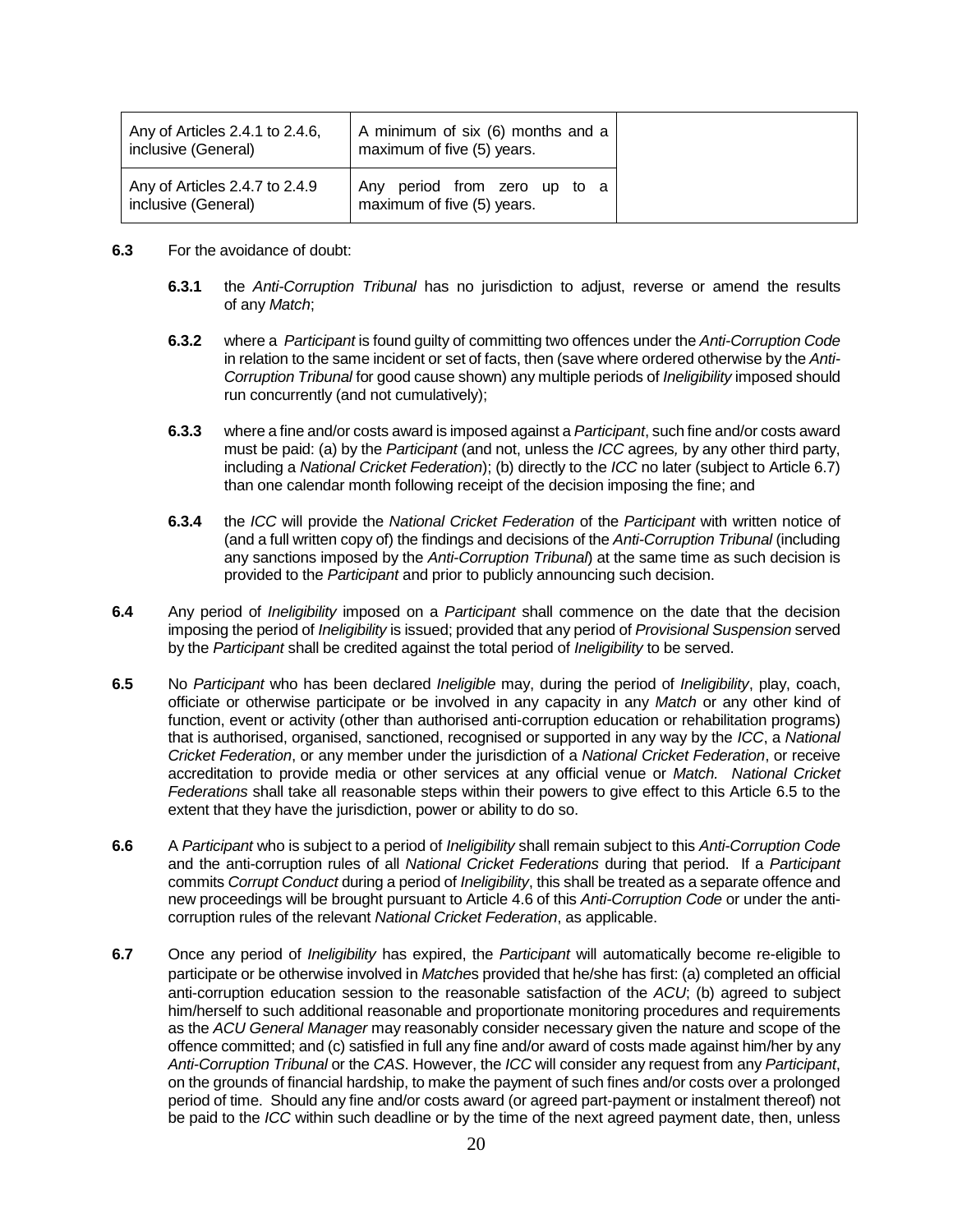| Any of Articles 2.4.1 to 2.4.6, | A minimum of six (6) months and a |
|---------------------------------|-----------------------------------|
| inclusive (General)             | maximum of five (5) years.        |
| Any of Articles 2.4.7 to 2.4.9  | Any period from zero up to a      |
| inclusive (General)             | maximum of five (5) years.        |

- **6.3** For the avoidance of doubt:
	- **6.3.1** the *Anti-Corruption Tribunal* has no jurisdiction to adjust, reverse or amend the results of any *Match*;
	- **6.3.2** where a *Participant* is found guilty of committing two offences under the *Anti-Corruption Code*  in relation to the same incident or set of facts, then (save where ordered otherwise by the *Anti-Corruption Tribunal* for good cause shown) any multiple periods of *Ineligibility* imposed should run concurrently (and not cumulatively);
	- **6.3.3** where a fine and/or costs award is imposed against a *Participant*, such fine and/or costs award must be paid: (a) by the *Participant* (and not, unless the *ICC* agrees*,* by any other third party, including a *National Cricket Federation*); (b) directly to the *ICC* no later (subject to Article 6.7) than one calendar month following receipt of the decision imposing the fine; and
	- **6.3.4** the *ICC* will provide the *National Cricket Federation* of the *Participant* with written notice of (and a full written copy of) the findings and decisions of the *Anti-Corruption Tribunal* (including any sanctions imposed by the *Anti-Corruption Tribunal*) at the same time as such decision is provided to the *Participant* and prior to publicly announcing such decision.
- **6.4** Any period of *Ineligibility* imposed on a *Participant* shall commence on the date that the decision imposing the period of *Ineligibility* is issued; provided that any period of *Provisional Suspension* served by the *Participant* shall be credited against the total period of *Ineligibility* to be served.
- **6.5** No *Participant* who has been declared *Ineligible* may, during the period of *Ineligibility*, play, coach, officiate or otherwise participate or be involved in any capacity in any *Match* or any other kind of function, event or activity (other than authorised anti-corruption education or rehabilitation programs) that is authorised, organised, sanctioned, recognised or supported in any way by the *ICC*, a *National Cricket Federation*, or any member under the jurisdiction of a *National Cricket Federation*, or receive accreditation to provide media or other services at any official venue or *Match. National Cricket Federations* shall take all reasonable steps within their powers to give effect to this Article 6.5 to the extent that they have the jurisdiction, power or ability to do so.
- **6.6** A *Participant* who is subject to a period of *Ineligibility* shall remain subject to this *Anti-Corruption Code* and the anti-corruption rules of all *National Cricket Federations* during that period. If a *Participant* commits *Corrupt Conduct* during a period of *Ineligibility*, this shall be treated as a separate offence and new proceedings will be brought pursuant to Article 4.6 of this *Anti-Corruption Code* or under the anticorruption rules of the relevant *National Cricket Federation*, as applicable.
- **6.7** Once any period of *Ineligibility* has expired, the *Participant* will automatically become re-eligible to participate or be otherwise involved in *Matche*s provided that he/she has first: (a) completed an official anti-corruption education session to the reasonable satisfaction of the *ACU*; (b) agreed to subject him/herself to such additional reasonable and proportionate monitoring procedures and requirements as the *ACU General Manager* may reasonably consider necessary given the nature and scope of the offence committed; and (c) satisfied in full any fine and/or award of costs made against him/her by any *Anti-Corruption Tribunal* or the *CAS*. However, the *ICC* will consider any request from any *Participant*, on the grounds of financial hardship, to make the payment of such fines and/or costs over a prolonged period of time. Should any fine and/or costs award (or agreed part-payment or instalment thereof) not be paid to the *ICC* within such deadline or by the time of the next agreed payment date, then, unless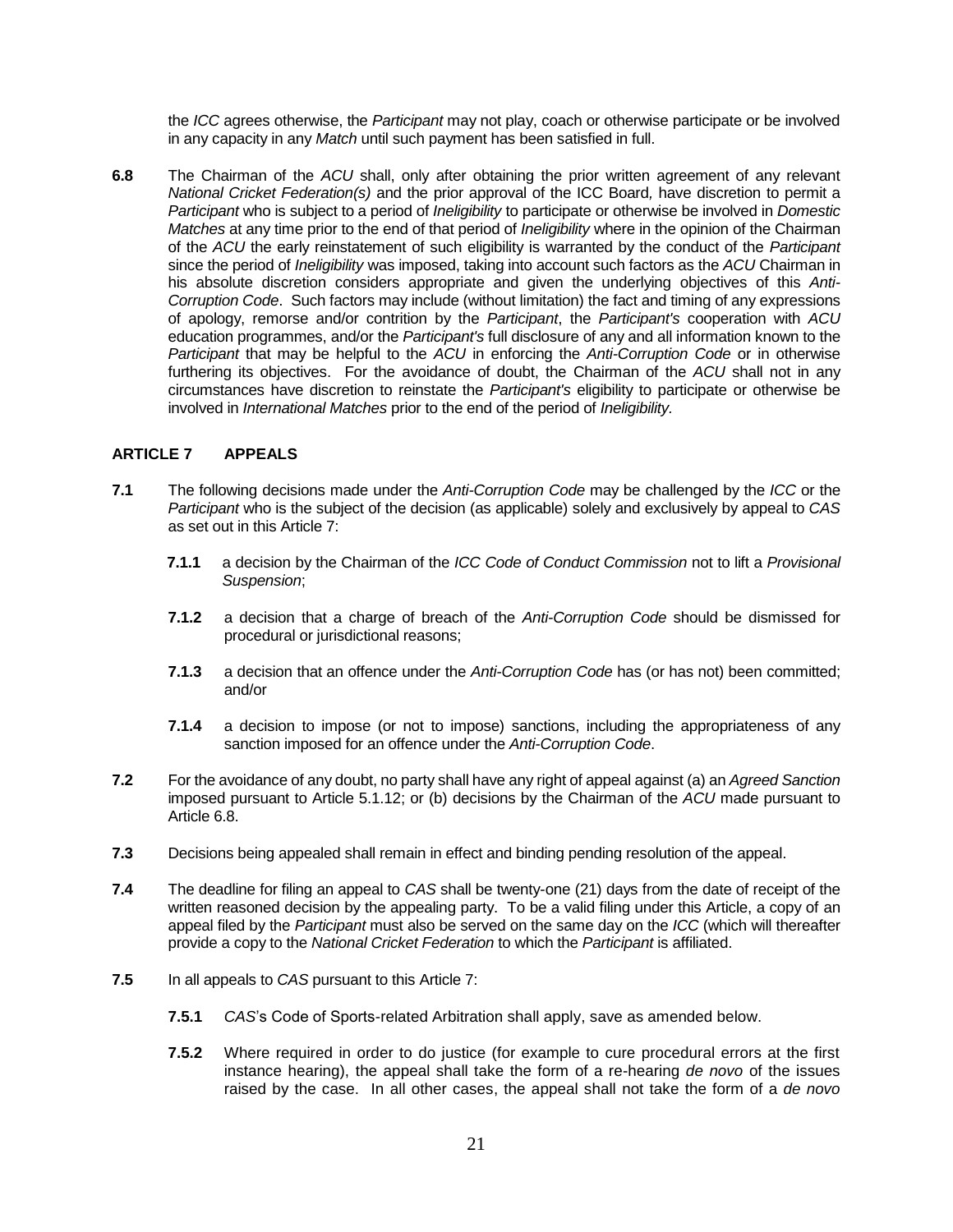the *ICC* agrees otherwise, the *Participant* may not play, coach or otherwise participate or be involved in any capacity in any *Match* until such payment has been satisfied in full.

**6.8** The Chairman of the *ACU* shall, only after obtaining the prior written agreement of any relevant *National Cricket Federation(s)* and the prior approval of the ICC Board*,* have discretion to permit a *Participant* who is subject to a period of *Ineligibility* to participate or otherwise be involved in *Domestic Matches* at any time prior to the end of that period of *Ineligibility* where in the opinion of the Chairman of the *ACU* the early reinstatement of such eligibility is warranted by the conduct of the *Participant*  since the period of *Ineligibility* was imposed, taking into account such factors as the *ACU* Chairman in his absolute discretion considers appropriate and given the underlying objectives of this *Anti-Corruption Code*. Such factors may include (without limitation) the fact and timing of any expressions of apology, remorse and/or contrition by the *Participant*, the *Participant's* cooperation with *ACU* education programmes, and/or the *Participant's* full disclosure of any and all information known to the *Participant* that may be helpful to the *ACU* in enforcing the *Anti-Corruption Code* or in otherwise furthering its objectives. For the avoidance of doubt, the Chairman of the *ACU* shall not in any circumstances have discretion to reinstate the *Participant's* eligibility to participate or otherwise be involved in *International Matches* prior to the end of the period of *Ineligibility.* 

#### **ARTICLE 7 APPEALS**

- **7.1** The following decisions made under the *Anti-Corruption Code* may be challenged by the *ICC* or the *Participant* who is the subject of the decision (as applicable) solely and exclusively by appeal to *CAS* as set out in this Article 7:
	- **7.1.1** a decision by the Chairman of the *ICC Code of Conduct Commission* not to lift a *Provisional Suspension*;
	- **7.1.2** a decision that a charge of breach of the *Anti-Corruption Code* should be dismissed for procedural or jurisdictional reasons;
	- **7.1.3** a decision that an offence under the *Anti-Corruption Code* has (or has not) been committed; and/or
	- **7.1.4** a decision to impose (or not to impose) sanctions, including the appropriateness of any sanction imposed for an offence under the *Anti-Corruption Code*.
- **7.2** For the avoidance of any doubt, no party shall have any right of appeal against (a) an *Agreed Sanction* imposed pursuant to Article 5.1.12; or (b) decisions by the Chairman of the *ACU* made pursuant to Article 6.8.
- **7.3** Decisions being appealed shall remain in effect and binding pending resolution of the appeal.
- **7.4** The deadline for filing an appeal to *CAS* shall be twenty-one (21) days from the date of receipt of the written reasoned decision by the appealing party. To be a valid filing under this Article, a copy of an appeal filed by the *Participant* must also be served on the same day on the *ICC* (which will thereafter provide a copy to the *National Cricket Federation* to which the *Participant* is affiliated.
- **7.5** In all appeals to *CAS* pursuant to this Article 7:
	- **7.5.1** *CAS*'s Code of Sports-related Arbitration shall apply, save as amended below.
	- **7.5.2** Where required in order to do justice (for example to cure procedural errors at the first instance hearing), the appeal shall take the form of a re-hearing *de novo* of the issues raised by the case. In all other cases, the appeal shall not take the form of a *de novo*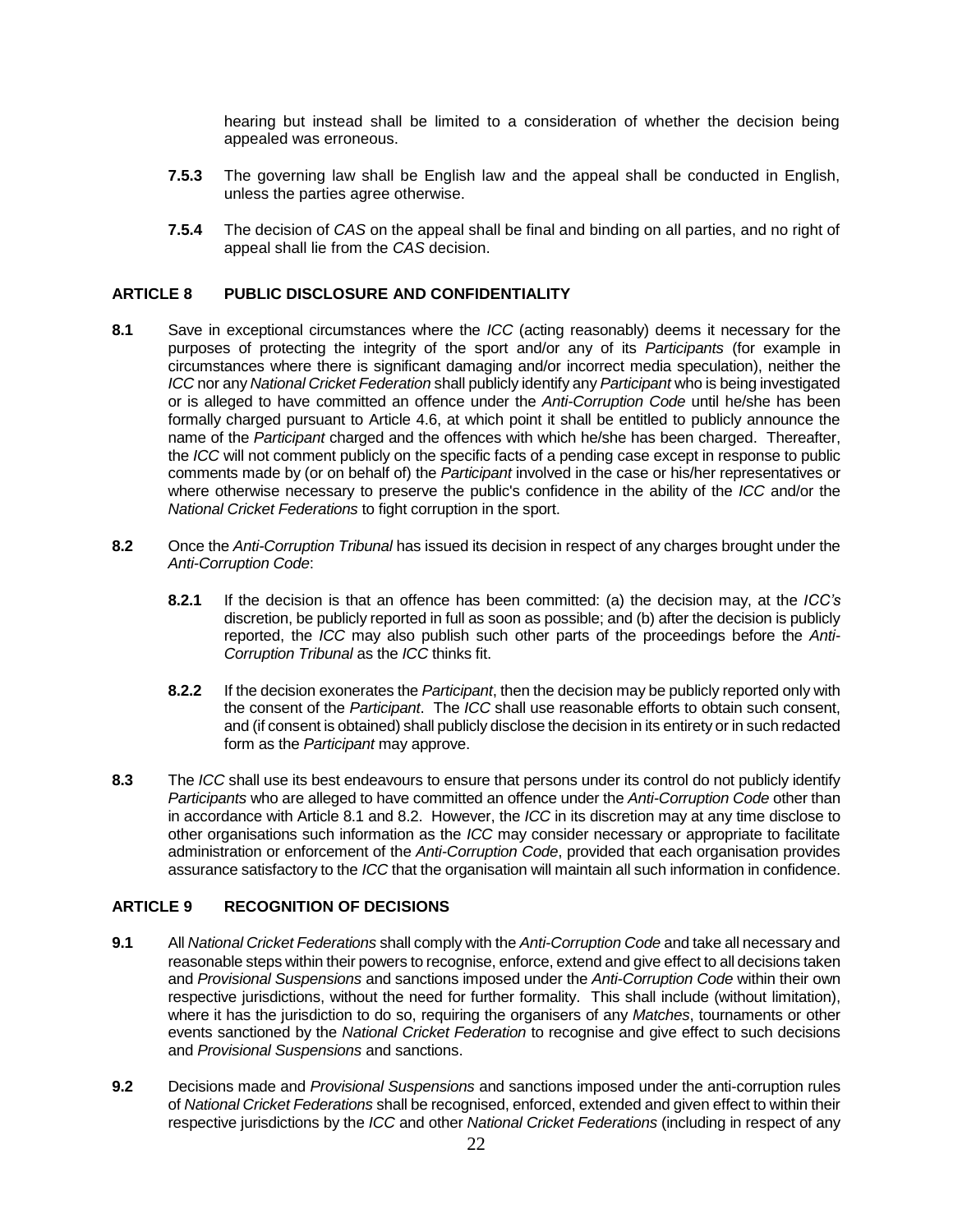hearing but instead shall be limited to a consideration of whether the decision being appealed was erroneous.

- **7.5.3** The governing law shall be English law and the appeal shall be conducted in English, unless the parties agree otherwise.
- **7.5.4** The decision of *CAS* on the appeal shall be final and binding on all parties, and no right of appeal shall lie from the *CAS* decision.

#### **ARTICLE 8 PUBLIC DISCLOSURE AND CONFIDENTIALITY**

- **8.1** Save in exceptional circumstances where the *ICC* (acting reasonably) deems it necessary for the purposes of protecting the integrity of the sport and/or any of its *Participants* (for example in circumstances where there is significant damaging and/or incorrect media speculation), neither the *ICC* nor any *National Cricket Federation* shall publicly identify any *Participant* who is being investigated or is alleged to have committed an offence under the *Anti-Corruption Code* until he/she has been formally charged pursuant to Article 4.6, at which point it shall be entitled to publicly announce the name of the *Participant* charged and the offences with which he/she has been charged. Thereafter, the *ICC* will not comment publicly on the specific facts of a pending case except in response to public comments made by (or on behalf of) the *Participant* involved in the case or his/her representatives or where otherwise necessary to preserve the public's confidence in the ability of the *ICC* and/or the *National Cricket Federations* to fight corruption in the sport.
- **8.2** Once the *Anti-Corruption Tribunal* has issued its decision in respect of any charges brought under the *Anti-Corruption Code*:
	- **8.2.1** If the decision is that an offence has been committed: (a) the decision may, at the *ICC's* discretion, be publicly reported in full as soon as possible; and (b) after the decision is publicly reported, the *ICC* may also publish such other parts of the proceedings before the *Anti-Corruption Tribunal* as the *ICC* thinks fit.
	- **8.2.2** If the decision exonerates the *Participant*, then the decision may be publicly reported only with the consent of the *Participant*. The *ICC* shall use reasonable efforts to obtain such consent, and (if consent is obtained) shall publicly disclose the decision in its entirety or in such redacted form as the *Participant* may approve.
- **8.3** The *ICC* shall use its best endeavours to ensure that persons under its control do not publicly identify *Participants* who are alleged to have committed an offence under the *Anti-Corruption Code* other than in accordance with Article 8.1 and 8.2. However, the *ICC* in its discretion may at any time disclose to other organisations such information as the *ICC* may consider necessary or appropriate to facilitate administration or enforcement of the *Anti-Corruption Code*, provided that each organisation provides assurance satisfactory to the *ICC* that the organisation will maintain all such information in confidence.

#### **ARTICLE 9 RECOGNITION OF DECISIONS**

- **9.1** All *National Cricket Federations* shall comply with the *Anti-Corruption Code* and take all necessary and reasonable steps within their powers to recognise, enforce, extend and give effect to all decisions taken and *Provisional Suspensions* and sanctions imposed under the *Anti-Corruption Code* within their own respective jurisdictions, without the need for further formality. This shall include (without limitation), where it has the jurisdiction to do so, requiring the organisers of any *Matches*, tournaments or other events sanctioned by the *National Cricket Federation* to recognise and give effect to such decisions and *Provisional Suspensions* and sanctions.
- **9.2** Decisions made and *Provisional Suspensions* and sanctions imposed under the anti-corruption rules of *National Cricket Federations* shall be recognised, enforced, extended and given effect to within their respective jurisdictions by the *ICC* and other *National Cricket Federations* (including in respect of any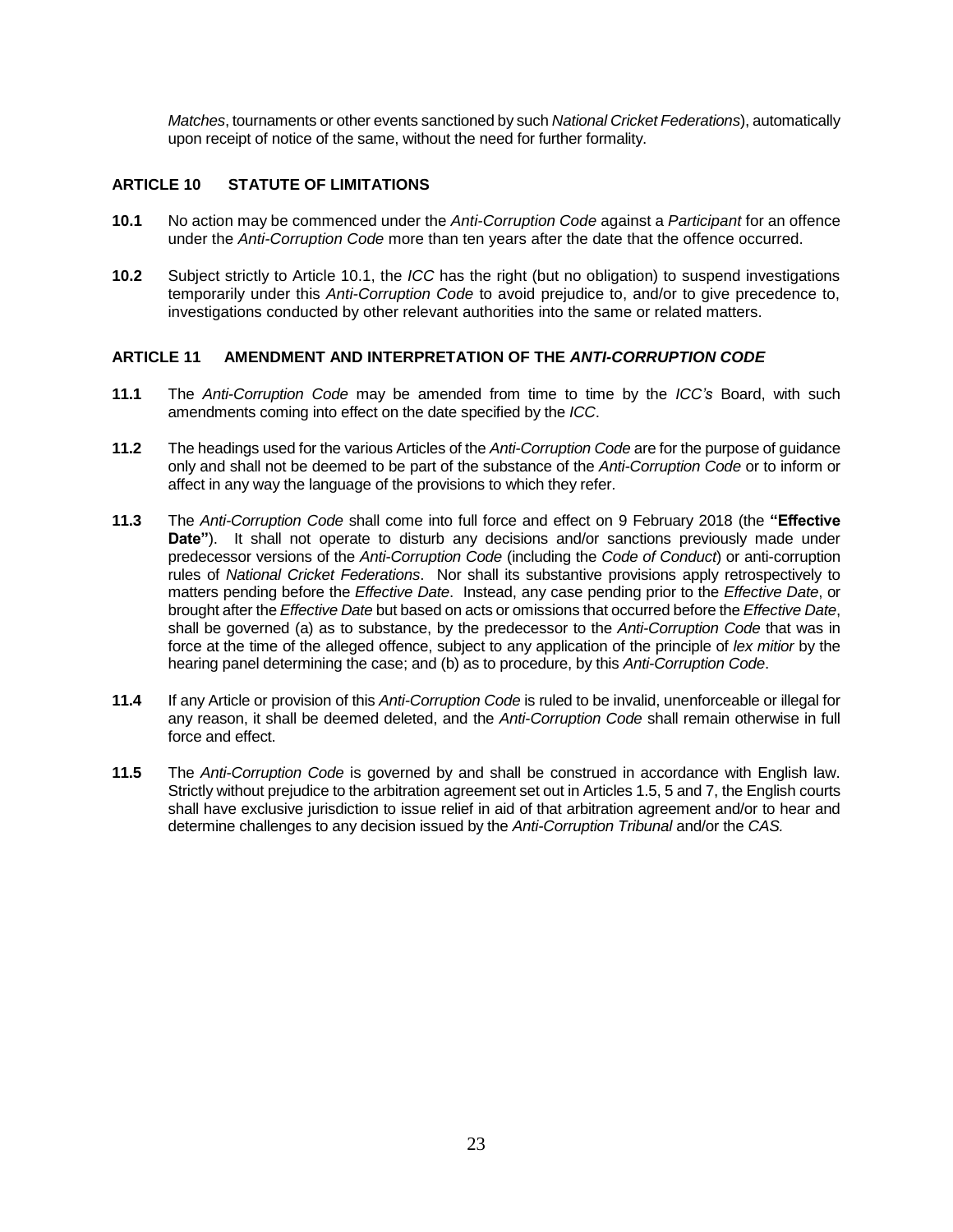*Matches*, tournaments or other events sanctioned by such *National Cricket Federations*), automatically upon receipt of notice of the same, without the need for further formality.

#### **ARTICLE 10 STATUTE OF LIMITATIONS**

- **10.1** No action may be commenced under the *Anti-Corruption Code* against a *Participant* for an offence under the *Anti-Corruption Code* more than ten years after the date that the offence occurred.
- **10.2** Subject strictly to Article 10.1, the *ICC* has the right (but no obligation) to suspend investigations temporarily under this *Anti-Corruption Code* to avoid prejudice to, and/or to give precedence to, investigations conducted by other relevant authorities into the same or related matters.

#### **ARTICLE 11 AMENDMENT AND INTERPRETATION OF THE** *ANTI-CORRUPTION CODE*

- **11.1** The *Anti-Corruption Code* may be amended from time to time by the *ICC's* Board, with such amendments coming into effect on the date specified by the *ICC*.
- **11.2** The headings used for the various Articles of the *Anti-Corruption Code* are for the purpose of guidance only and shall not be deemed to be part of the substance of the *Anti-Corruption Code* or to inform or affect in any way the language of the provisions to which they refer.
- **11.3** The *Anti-Corruption Code* shall come into full force and effect on 9 February 2018 (the **"Effective Date"**). It shall not operate to disturb any decisions and/or sanctions previously made under predecessor versions of the *Anti-Corruption Code* (including the *Code of Conduct*) or anti-corruption rules of *National Cricket Federations*. Nor shall its substantive provisions apply retrospectively to matters pending before the *Effective Date*. Instead, any case pending prior to the *Effective Date*, or brought after the *Effective Date* but based on acts or omissions that occurred before the *Effective Date*, shall be governed (a) as to substance, by the predecessor to the *Anti-Corruption Code* that was in force at the time of the alleged offence, subject to any application of the principle of *lex mitior* by the hearing panel determining the case; and (b) as to procedure, by this *Anti-Corruption Code*.
- **11.4** If any Article or provision of this *Anti-Corruption Code* is ruled to be invalid, unenforceable or illegal for any reason, it shall be deemed deleted, and the *Anti-Corruption Code* shall remain otherwise in full force and effect.
- **11.5** The *Anti-Corruption Code* is governed by and shall be construed in accordance with English law. Strictly without prejudice to the arbitration agreement set out in Articles 1.5, 5 and 7, the English courts shall have exclusive jurisdiction to issue relief in aid of that arbitration agreement and/or to hear and determine challenges to any decision issued by the *Anti-Corruption Tribunal* and/or the *CAS.*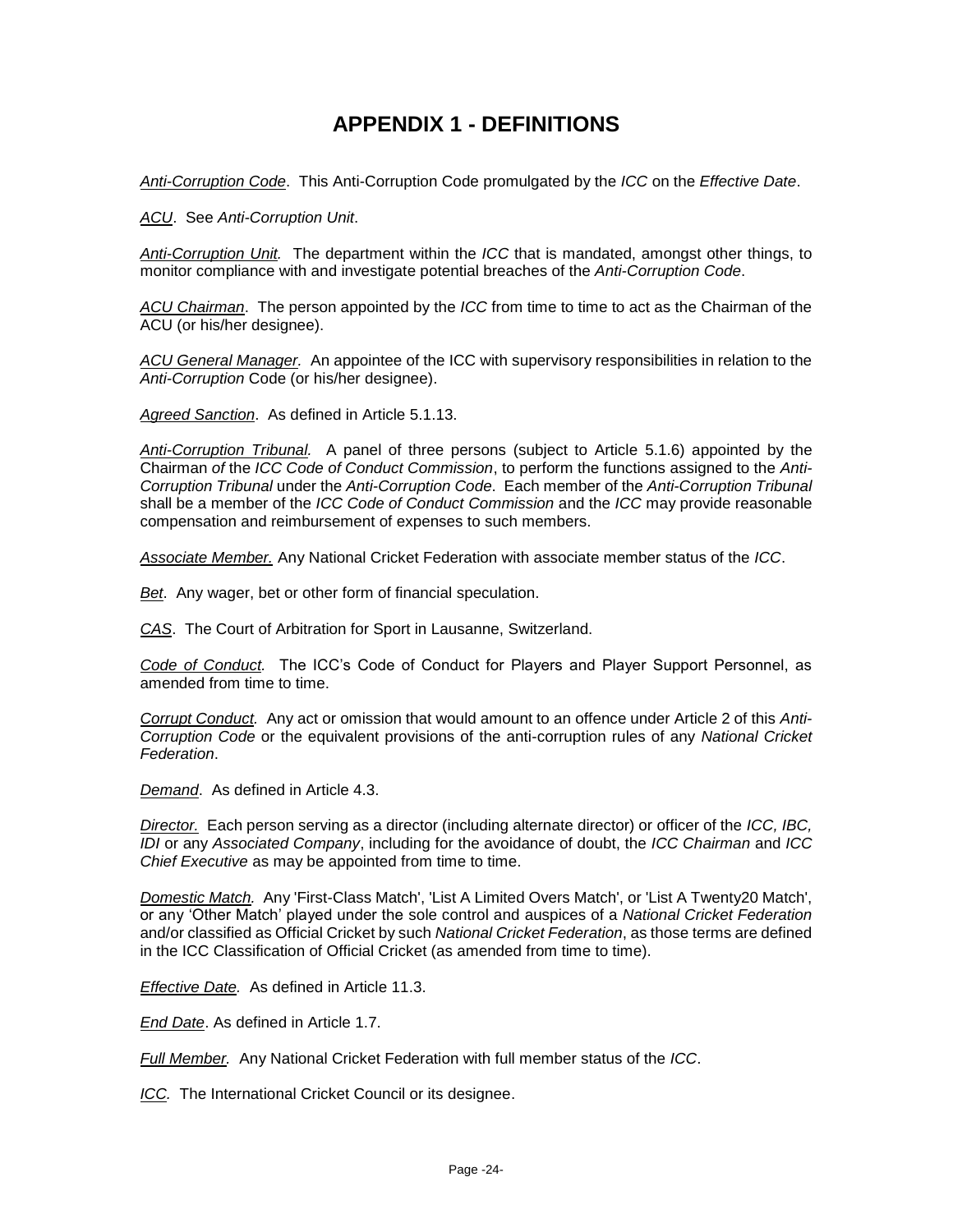### **APPENDIX 1 - DEFINITIONS**

*Anti-Corruption Code*. This Anti-Corruption Code promulgated by the *ICC* on the *Effective Date*.

*ACU*. See *Anti-Corruption Unit*.

*Anti-Corruption Unit.* The department within the *ICC* that is mandated, amongst other things, to monitor compliance with and investigate potential breaches of the *Anti-Corruption Code*.

*ACU Chairman*. The person appointed by the *ICC* from time to time to act as the Chairman of the ACU (or his/her designee).

*ACU General Manager.* An appointee of the ICC with supervisory responsibilities in relation to the *Anti-Corruption* Code (or his/her designee).

*Agreed Sanction*. As defined in Article 5.1.13.

*Anti-Corruption Tribunal.* A panel of three persons (subject to Article 5.1.6) appointed by the Chairman *of* the *ICC Code of Conduct Commission*, to perform the functions assigned to the *Anti-Corruption Tribunal* under the *Anti-Corruption Code*. Each member of the *Anti-Corruption Tribunal* shall be a member of the *ICC Code of Conduct Commission* and the *ICC* may provide reasonable compensation and reimbursement of expenses to such members.

*Associate Member.* Any National Cricket Federation with associate member status of the *ICC*.

*Bet*. Any wager, bet or other form of financial speculation.

*CAS*. The Court of Arbitration for Sport in Lausanne, Switzerland.

*Code of Conduct.* The ICC's Code of Conduct for Players and Player Support Personnel, as amended from time to time.

*Corrupt Conduct.* Any act or omission that would amount to an offence under Article 2 of this *Anti-Corruption Code* or the equivalent provisions of the anti-corruption rules of any *National Cricket Federation*.

*Demand*. As defined in Article 4.3.

*Director.* Each person serving as a director (including alternate director) or officer of the *ICC, IBC, IDI* or any *Associated Company*, including for the avoidance of doubt, the *ICC Chairman* and *ICC Chief Executive* as may be appointed from time to time.

*Domestic Match.* Any 'First-Class Match', 'List A Limited Overs Match', or 'List A Twenty20 Match', or any 'Other Match' played under the sole control and auspices of a *National Cricket Federation* and/or classified as Official Cricket by such *National Cricket Federation*, as those terms are defined in the ICC Classification of Official Cricket (as amended from time to time).

*Effective Date.* As defined in Article 11.3.

*End Date*. As defined in Article 1.7.

*Full Member.* Any National Cricket Federation with full member status of the *ICC*.

*ICC.* The International Cricket Council or its designee.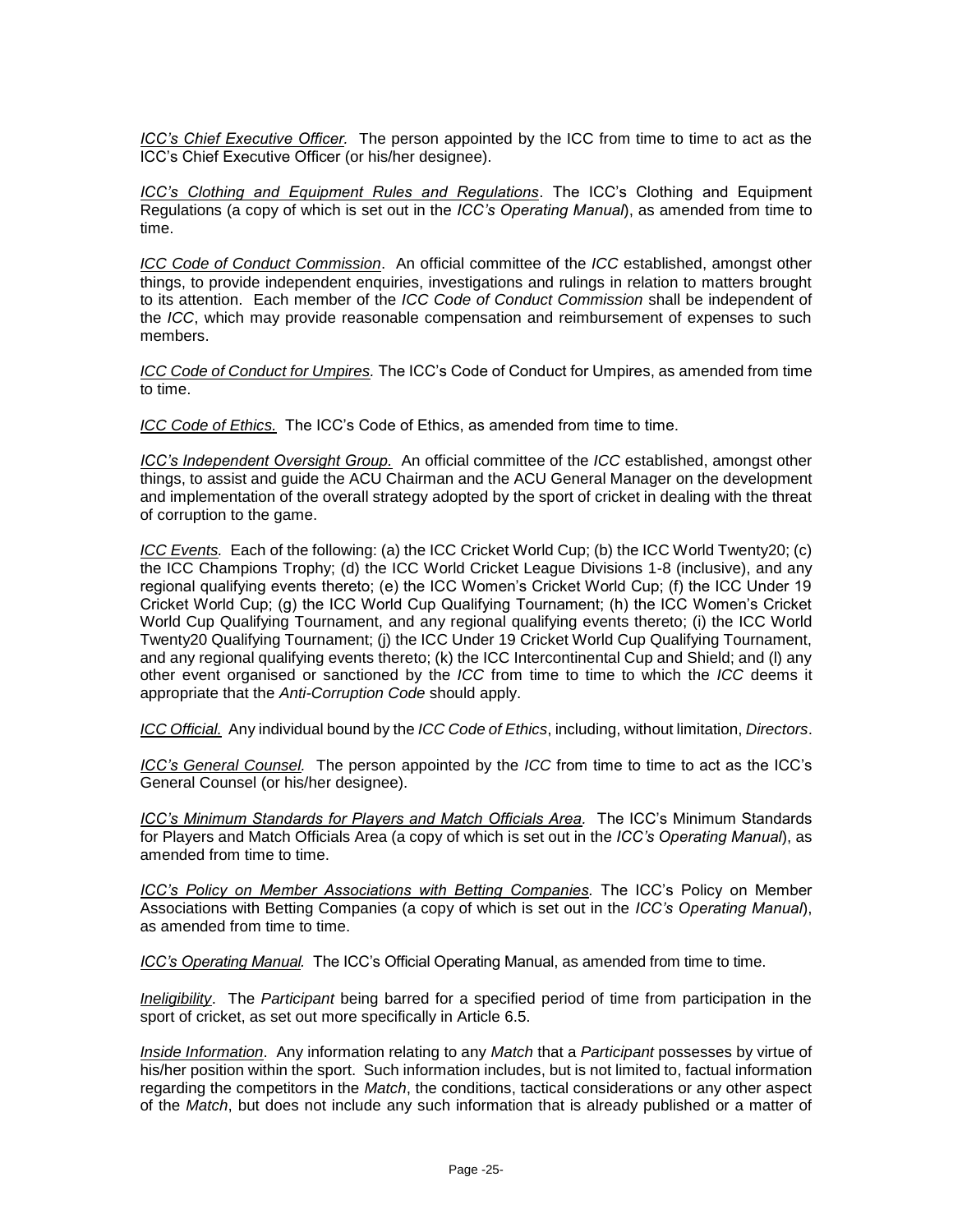*ICC's Chief Executive Officer.* The person appointed by the ICC from time to time to act as the ICC's Chief Executive Officer (or his/her designee).

*ICC's Clothing and Equipment Rules and Regulations*. The ICC's Clothing and Equipment Regulations (a copy of which is set out in the *ICC's Operating Manual*), as amended from time to time.

*ICC Code of Conduct Commission*. An official committee of the *ICC* established, amongst other things, to provide independent enquiries, investigations and rulings in relation to matters brought to its attention. Each member of the *ICC Code of Conduct Commission* shall be independent of the *ICC*, which may provide reasonable compensation and reimbursement of expenses to such members.

*ICC Code of Conduct for Umpires.* The ICC's Code of Conduct for Umpires, as amended from time to time.

*ICC Code of Ethics.* The ICC's Code of Ethics, as amended from time to time.

*ICC's Independent Oversight Group.* An official committee of the *ICC* established, amongst other things, to assist and guide the ACU Chairman and the ACU General Manager on the development and implementation of the overall strategy adopted by the sport of cricket in dealing with the threat of corruption to the game.

*ICC Events.* Each of the following: (a) the ICC Cricket World Cup; (b) the ICC World Twenty20; (c) the ICC Champions Trophy; (d) the ICC World Cricket League Divisions 1-8 (inclusive), and any regional qualifying events thereto; (e) the ICC Women's Cricket World Cup; (f) the ICC Under 19 Cricket World Cup; (g) the ICC World Cup Qualifying Tournament; (h) the ICC Women's Cricket World Cup Qualifying Tournament, and any regional qualifying events thereto; (i) the ICC World Twenty20 Qualifying Tournament; (j) the ICC Under 19 Cricket World Cup Qualifying Tournament, and any regional qualifying events thereto; (k) the ICC Intercontinental Cup and Shield; and (l) any other event organised or sanctioned by the *ICC* from time to time to which the *ICC* deems it appropriate that the *Anti-Corruption Code* should apply.

*ICC Official.* Any individual bound by the *ICC Code of Ethics*, including, without limitation, *Directors*.

*ICC's General Counsel.* The person appointed by the *ICC* from time to time to act as the ICC's General Counsel (or his/her designee).

*ICC's Minimum Standards for Players and Match Officials Area.* The ICC's Minimum Standards for Players and Match Officials Area (a copy of which is set out in the *ICC's Operating Manual*), as amended from time to time.

*ICC's Policy on Member Associations with Betting Companies.* The ICC's Policy on Member Associations with Betting Companies (a copy of which is set out in the *ICC's Operating Manual*), as amended from time to time.

*ICC's Operating Manual.* The ICC's Official Operating Manual, as amended from time to time.

*Ineligibility*. The *Participant* being barred for a specified period of time from participation in the sport of cricket, as set out more specifically in Article 6.5.

*Inside Information*. Any information relating to any *Match* that a *Participant* possesses by virtue of his/her position within the sport. Such information includes, but is not limited to, factual information regarding the competitors in the *Match*, the conditions, tactical considerations or any other aspect of the *Match*, but does not include any such information that is already published or a matter of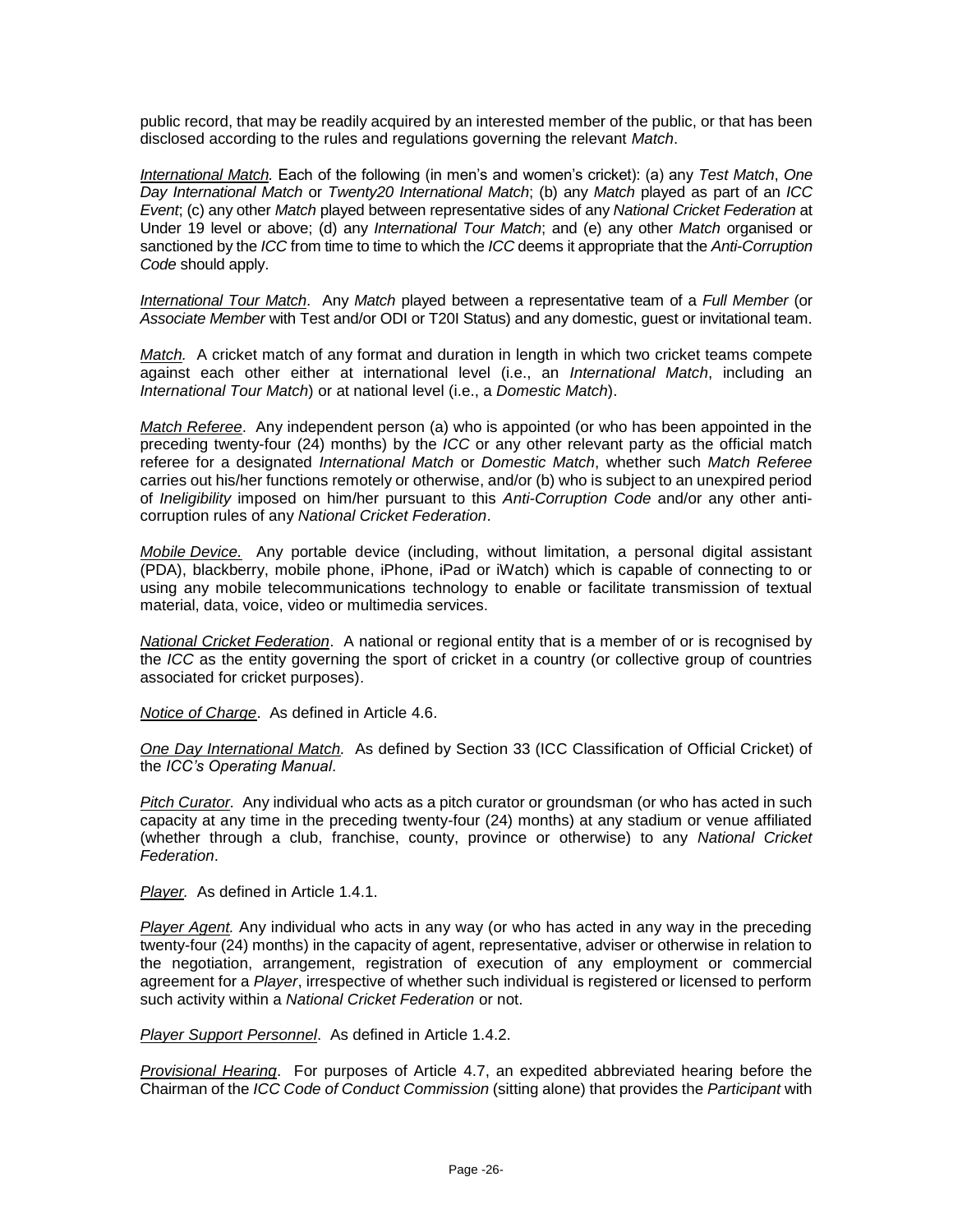public record, that may be readily acquired by an interested member of the public, or that has been disclosed according to the rules and regulations governing the relevant *Match*.

*International Match.* Each of the following (in men's and women's cricket): (a) any *Test Match*, *One Day International Match* or *Twenty20 International Match*; (b) any *Match* played as part of an *ICC Event*; (c) any other *Match* played between representative sides of any *National Cricket Federation* at Under 19 level or above; (d) any *International Tour Match*; and (e) any other *Match* organised or sanctioned by the *ICC* from time to time to which the *ICC* deems it appropriate that the *Anti-Corruption Code* should apply.

*International Tour Match*. Any *Match* played between a representative team of a *Full Member* (or *Associate Member* with Test and/or ODI or T20I Status) and any domestic, guest or invitational team.

*Match.* A cricket match of any format and duration in length in which two cricket teams compete against each other either at international level (i.e., an *International Match*, including an *International Tour Match*) or at national level (i.e., a *Domestic Match*).

*Match Referee*. Any independent person (a) who is appointed (or who has been appointed in the preceding twenty-four (24) months) by the *ICC* or any other relevant party as the official match referee for a designated *International Match* or *Domestic Match*, whether such *Match Referee* carries out his/her functions remotely or otherwise, and/or (b) who is subject to an unexpired period of *Ineligibility* imposed on him/her pursuant to this *Anti-Corruption Code* and/or any other anticorruption rules of any *National Cricket Federation*.

*Mobile Device.* Any portable device (including, without limitation, a personal digital assistant (PDA), blackberry, mobile phone, iPhone, iPad or iWatch) which is capable of connecting to or using any mobile telecommunications technology to enable or facilitate transmission of textual material, data, voice, video or multimedia services.

*National Cricket Federation*. A national or regional entity that is a member of or is recognised by the *ICC* as the entity governing the sport of cricket in a country (or collective group of countries associated for cricket purposes).

*Notice of Charge*. As defined in Article 4.6.

*One Day International Match.* As defined by Section 33 (ICC Classification of Official Cricket) of the *ICC's Operating Manual*.

*Pitch Curator.* Any individual who acts as a pitch curator or groundsman (or who has acted in such capacity at any time in the preceding twenty-four (24) months) at any stadium or venue affiliated (whether through a club, franchise, county, province or otherwise) to any *National Cricket Federation*.

*Player.* As defined in Article 1.4.1.

*Player Agent.* Any individual who acts in any way (or who has acted in any way in the preceding twenty-four (24) months) in the capacity of agent, representative, adviser or otherwise in relation to the negotiation, arrangement, registration of execution of any employment or commercial agreement for a *Player*, irrespective of whether such individual is registered or licensed to perform such activity within a *National Cricket Federation* or not.

*Player Support Personnel*. As defined in Article 1.4.2.

*Provisional Hearing*. For purposes of Article 4.7, an expedited abbreviated hearing before the Chairman of the *ICC Code of Conduct Commission* (sitting alone) that provides the *Participant* with